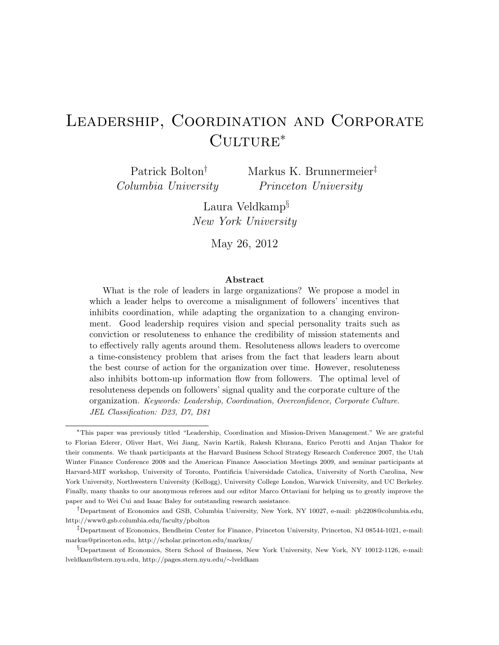# <span id="page-0-0"></span>Leadership, Coordination and Corporate  $CULTURE^*$

Patrick Bolton† Columbia University Markus K. Brunnermeier‡ Princeton University

Laura Veldkamp§ New York University

May 26, 2012

#### Abstract

What is the role of leaders in large organizations? We propose a model in which a leader helps to overcome a misalignment of followers' incentives that inhibits coordination, while adapting the organization to a changing environment. Good leadership requires vision and special personality traits such as conviction or resoluteness to enhance the credibility of mission statements and to effectively rally agents around them. Resoluteness allows leaders to overcome a time-consistency problem that arises from the fact that leaders learn about the best course of action for the organization over time. However, resoluteness also inhibits bottom-up information flow from followers. The optimal level of resoluteness depends on followers' signal quality and the corporate culture of the organization. Keywords: Leadership, Coordination, Overconfidence, Corporate Culture. JEL Classification: D23, D7, D81

<sup>∗</sup>This paper was previously titled "Leadership, Coordination and Mission-Driven Management." We are grateful to Florian Ederer, Oliver Hart, Wei Jiang, Navin Kartik, Rakesh Khurana, Enrico Perotti and Anjan Thakor for their comments. We thank participants at the Harvard Business School Strategy Research Conference 2007, the Utah Winter Finance Conference 2008 and the American Finance Association Meetings 2009, and seminar participants at Harvard-MIT workshop, University of Toronto, Pontificia Universidade Catolica, University of North Carolina, New York University, Northwestern University (Kellogg), University College London, Warwick University, and UC Berkeley. Finally, many thanks to our anonymous referees and our editor Marco Ottaviani for helping us to greatly improve the paper and to Wei Cui and Isaac Baley for outstanding research assistance.

<sup>†</sup>Department of Economics and GSB, Columbia University, New York, NY 10027, e-mail: pb2208@columbia.edu, http://www0.gsb.columbia.edu/faculty/pbolton

<sup>‡</sup>Department of Economics, Bendheim Center for Finance, Princeton University, Princeton, NJ 08544-1021, e-mail: markus@princeton.edu, http://scholar.princeton.edu/markus/

<sup>§</sup>Department of Economics, Stern School of Business, New York University, New York, NY 10012-1126, e-mail: lveldkam@stern.nyu.edu, http://pages.stern.nyu.edu/∼lveldkam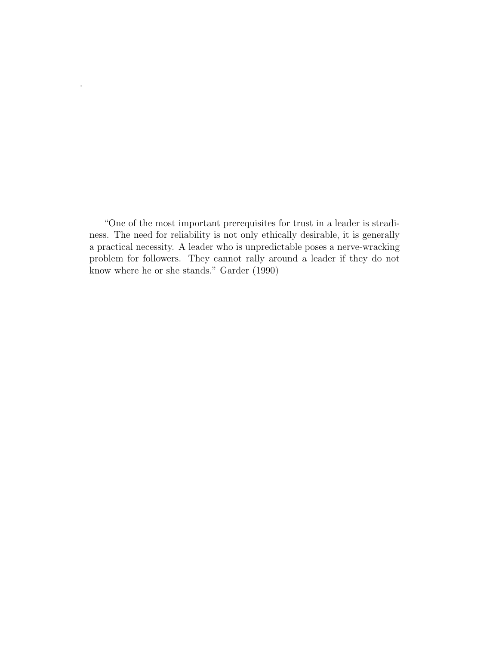"One of the most important prerequisites for trust in a leader is steadiness. The need for reliability is not only ethically desirable, it is generally a practical necessity. A leader who is unpredictable poses a nerve-wracking problem for followers. They cannot rally around a leader if they do not know where he or she stands." Garder (1990)

.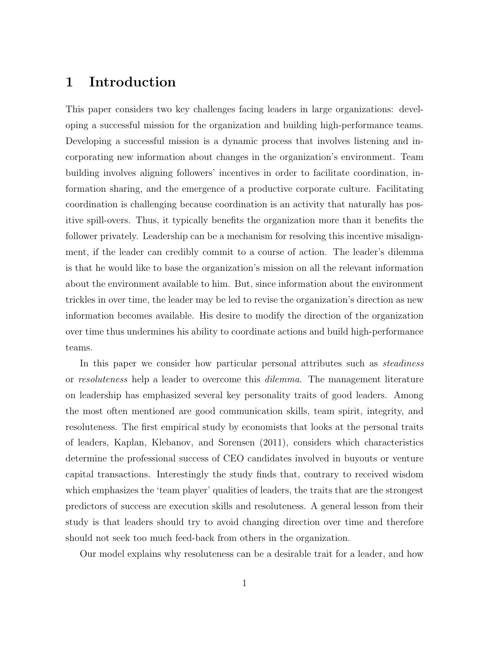### 1 Introduction

This paper considers two key challenges facing leaders in large organizations: developing a successful mission for the organization and building high-performance teams. Developing a successful mission is a dynamic process that involves listening and incorporating new information about changes in the organization's environment. Team building involves aligning followers' incentives in order to facilitate coordination, information sharing, and the emergence of a productive corporate culture. Facilitating coordination is challenging because coordination is an activity that naturally has positive spill-overs. Thus, it typically benefits the organization more than it benefits the follower privately. Leadership can be a mechanism for resolving this incentive misalignment, if the leader can credibly commit to a course of action. The leader's dilemma is that he would like to base the organization's mission on all the relevant information about the environment available to him. But, since information about the environment trickles in over time, the leader may be led to revise the organization's direction as new information becomes available. His desire to modify the direction of the organization over time thus undermines his ability to coordinate actions and build high-performance teams.

In this paper we consider how particular personal attributes such as steadiness or resoluteness help a leader to overcome this *dilemma*. The management literature on leadership has emphasized several key personality traits of good leaders. Among the most often mentioned are good communication skills, team spirit, integrity, and resoluteness. The first empirical study by economists that looks at the personal traits of leaders, Kaplan, Klebanov, and Sorensen (2011), considers which characteristics determine the professional success of CEO candidates involved in buyouts or venture capital transactions. Interestingly the study finds that, contrary to received wisdom which emphasizes the 'team player' qualities of leaders, the traits that are the strongest predictors of success are execution skills and resoluteness. A general lesson from their study is that leaders should try to avoid changing direction over time and therefore should not seek too much feed-back from others in the organization.

Our model explains why resoluteness can be a desirable trait for a leader, and how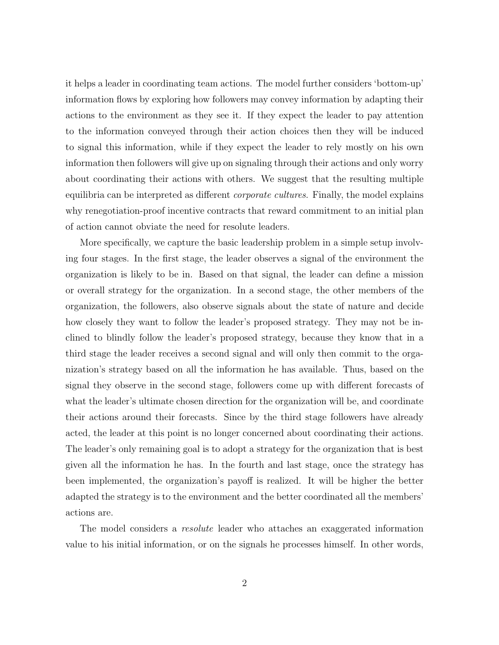it helps a leader in coordinating team actions. The model further considers 'bottom-up' information flows by exploring how followers may convey information by adapting their actions to the environment as they see it. If they expect the leader to pay attention to the information conveyed through their action choices then they will be induced to signal this information, while if they expect the leader to rely mostly on his own information then followers will give up on signaling through their actions and only worry about coordinating their actions with others. We suggest that the resulting multiple equilibria can be interpreted as different *corporate cultures*. Finally, the model explains why renegotiation-proof incentive contracts that reward commitment to an initial plan of action cannot obviate the need for resolute leaders.

More specifically, we capture the basic leadership problem in a simple setup involving four stages. In the first stage, the leader observes a signal of the environment the organization is likely to be in. Based on that signal, the leader can define a mission or overall strategy for the organization. In a second stage, the other members of the organization, the followers, also observe signals about the state of nature and decide how closely they want to follow the leader's proposed strategy. They may not be inclined to blindly follow the leader's proposed strategy, because they know that in a third stage the leader receives a second signal and will only then commit to the organization's strategy based on all the information he has available. Thus, based on the signal they observe in the second stage, followers come up with different forecasts of what the leader's ultimate chosen direction for the organization will be, and coordinate their actions around their forecasts. Since by the third stage followers have already acted, the leader at this point is no longer concerned about coordinating their actions. The leader's only remaining goal is to adopt a strategy for the organization that is best given all the information he has. In the fourth and last stage, once the strategy has been implemented, the organization's payoff is realized. It will be higher the better adapted the strategy is to the environment and the better coordinated all the members' actions are.

The model considers a resolute leader who attaches an exaggerated information value to his initial information, or on the signals he processes himself. In other words,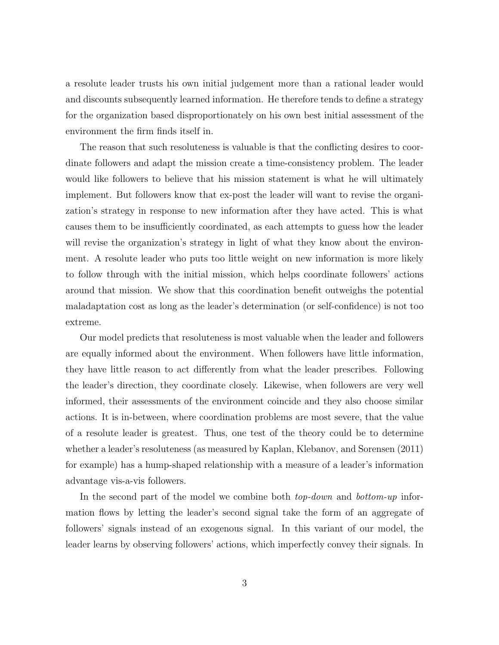a resolute leader trusts his own initial judgement more than a rational leader would and discounts subsequently learned information. He therefore tends to define a strategy for the organization based disproportionately on his own best initial assessment of the environment the firm finds itself in.

The reason that such resoluteness is valuable is that the conflicting desires to coordinate followers and adapt the mission create a time-consistency problem. The leader would like followers to believe that his mission statement is what he will ultimately implement. But followers know that ex-post the leader will want to revise the organization's strategy in response to new information after they have acted. This is what causes them to be insufficiently coordinated, as each attempts to guess how the leader will revise the organization's strategy in light of what they know about the environment. A resolute leader who puts too little weight on new information is more likely to follow through with the initial mission, which helps coordinate followers' actions around that mission. We show that this coordination benefit outweighs the potential maladaptation cost as long as the leader's determination (or self-confidence) is not too extreme.

Our model predicts that resoluteness is most valuable when the leader and followers are equally informed about the environment. When followers have little information, they have little reason to act differently from what the leader prescribes. Following the leader's direction, they coordinate closely. Likewise, when followers are very well informed, their assessments of the environment coincide and they also choose similar actions. It is in-between, where coordination problems are most severe, that the value of a resolute leader is greatest. Thus, one test of the theory could be to determine whether a leader's resoluteness (as measured by Kaplan, Klebanov, and Sorensen (2011) for example) has a hump-shaped relationship with a measure of a leader's information advantage vis-a-vis followers.

In the second part of the model we combine both *top-down* and *bottom-up* information flows by letting the leader's second signal take the form of an aggregate of followers' signals instead of an exogenous signal. In this variant of our model, the leader learns by observing followers' actions, which imperfectly convey their signals. In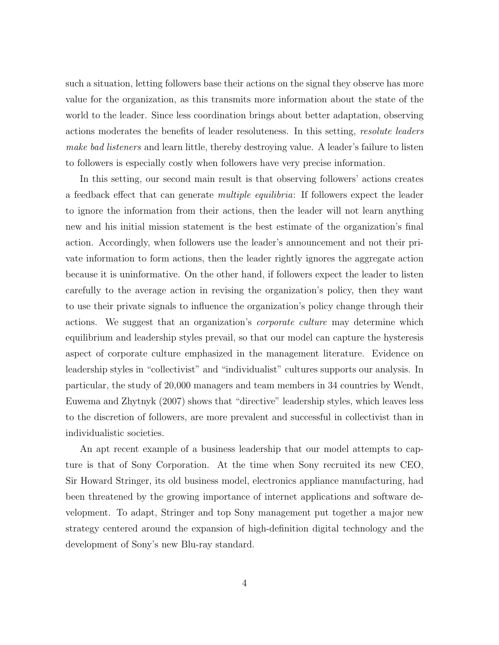such a situation, letting followers base their actions on the signal they observe has more value for the organization, as this transmits more information about the state of the world to the leader. Since less coordination brings about better adaptation, observing actions moderates the benefits of leader resoluteness. In this setting, resolute leaders make bad listeners and learn little, thereby destroying value. A leader's failure to listen to followers is especially costly when followers have very precise information.

In this setting, our second main result is that observing followers' actions creates a feedback effect that can generate multiple equilibria: If followers expect the leader to ignore the information from their actions, then the leader will not learn anything new and his initial mission statement is the best estimate of the organization's final action. Accordingly, when followers use the leader's announcement and not their private information to form actions, then the leader rightly ignores the aggregate action because it is uninformative. On the other hand, if followers expect the leader to listen carefully to the average action in revising the organization's policy, then they want to use their private signals to influence the organization's policy change through their actions. We suggest that an organization's corporate culture may determine which equilibrium and leadership styles prevail, so that our model can capture the hysteresis aspect of corporate culture emphasized in the management literature. Evidence on leadership styles in "collectivist" and "individualist" cultures supports our analysis. In particular, the study of 20,000 managers and team members in 34 countries by Wendt, Euwema and Zhytnyk (2007) shows that "directive" leadership styles, which leaves less to the discretion of followers, are more prevalent and successful in collectivist than in individualistic societies.

An apt recent example of a business leadership that our model attempts to capture is that of Sony Corporation. At the time when Sony recruited its new CEO, Sir Howard Stringer, its old business model, electronics appliance manufacturing, had been threatened by the growing importance of internet applications and software development. To adapt, Stringer and top Sony management put together a major new strategy centered around the expansion of high-definition digital technology and the development of Sony's new Blu-ray standard.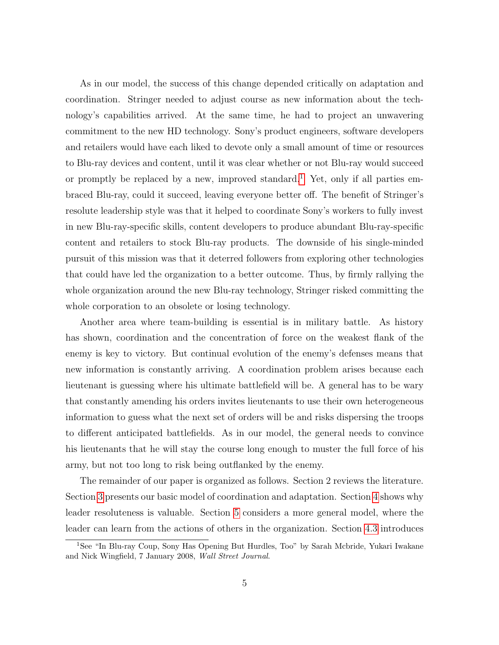As in our model, the success of this change depended critically on adaptation and coordination. Stringer needed to adjust course as new information about the technology's capabilities arrived. At the same time, he had to project an unwavering commitment to the new HD technology. Sony's product engineers, software developers and retailers would have each liked to devote only a small amount of time or resources to Blu-ray devices and content, until it was clear whether or not Blu-ray would succeed or promptly be replaced by a new, improved standard.<sup>[1](#page-0-0)</sup> Yet, only if all parties embraced Blu-ray, could it succeed, leaving everyone better off. The benefit of Stringer's resolute leadership style was that it helped to coordinate Sony's workers to fully invest in new Blu-ray-specific skills, content developers to produce abundant Blu-ray-specific content and retailers to stock Blu-ray products. The downside of his single-minded pursuit of this mission was that it deterred followers from exploring other technologies that could have led the organization to a better outcome. Thus, by firmly rallying the whole organization around the new Blu-ray technology, Stringer risked committing the whole corporation to an obsolete or losing technology.

Another area where team-building is essential is in military battle. As history has shown, coordination and the concentration of force on the weakest flank of the enemy is key to victory. But continual evolution of the enemy's defenses means that new information is constantly arriving. A coordination problem arises because each lieutenant is guessing where his ultimate battlefield will be. A general has to be wary that constantly amending his orders invites lieutenants to use their own heterogeneous information to guess what the next set of orders will be and risks dispersing the troops to different anticipated battlefields. As in our model, the general needs to convince his lieutenants that he will stay the course long enough to muster the full force of his army, but not too long to risk being outflanked by the enemy.

The remainder of our paper is organized as follows. Section 2 reviews the literature. Section [3](#page-8-0) presents our basic model of coordination and adaptation. Section [4](#page-12-0) shows why leader resoluteness is valuable. Section [5](#page-20-0) considers a more general model, where the leader can learn from the actions of others in the organization. Section [4.3](#page-19-0) introduces

<sup>1</sup>See "In Blu-ray Coup, Sony Has Opening But Hurdles, Too" by Sarah Mcbride, Yukari Iwakane and Nick Wingfield, 7 January 2008, Wall Street Journal.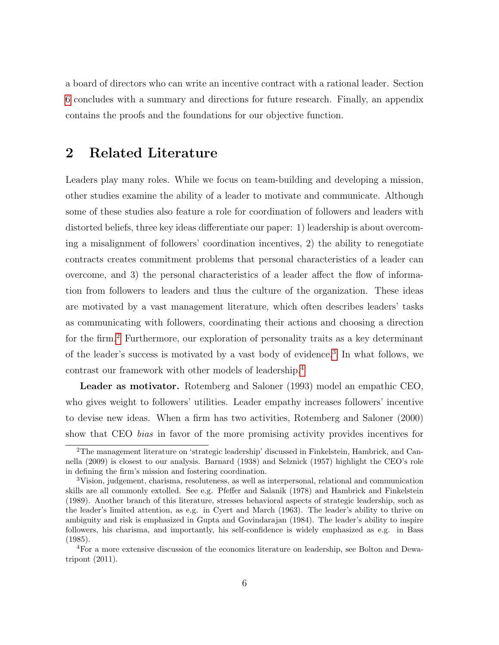a board of directors who can write an incentive contract with a rational leader. Section [6](#page-28-0) concludes with a summary and directions for future research. Finally, an appendix contains the proofs and the foundations for our objective function.

### 2 Related Literature

Leaders play many roles. While we focus on team-building and developing a mission, other studies examine the ability of a leader to motivate and communicate. Although some of these studies also feature a role for coordination of followers and leaders with distorted beliefs, three key ideas differentiate our paper: 1) leadership is about overcoming a misalignment of followers' coordination incentives, 2) the ability to renegotiate contracts creates commitment problems that personal characteristics of a leader can overcome, and 3) the personal characteristics of a leader affect the flow of information from followers to leaders and thus the culture of the organization. These ideas are motivated by a vast management literature, which often describes leaders' tasks as communicating with followers, coordinating their actions and choosing a direction for the firm.<sup>[2](#page-0-0)</sup> Furthermore, our exploration of personality traits as a key determinant of the leader's success is motivated by a vast body of evidence.[3](#page-0-0) In what follows, we contrast our framework with other models of leadership.[4](#page-0-0)

Leader as motivator. Rotemberg and Saloner (1993) model an empathic CEO, who gives weight to followers' utilities. Leader empathy increases followers' incentive to devise new ideas. When a firm has two activities, Rotemberg and Saloner (2000) show that CEO bias in favor of the more promising activity provides incentives for

<sup>2</sup>The management literature on 'strategic leadership' discussed in Finkelstein, Hambrick, and Cannella (2009) is closest to our analysis. Barnard (1938) and Selznick (1957) highlight the CEO's role in defining the firm's mission and fostering coordination.

<sup>3</sup>Vision, judgement, charisma, resoluteness, as well as interpersonal, relational and communication skills are all commonly extolled. See e.g. Pfeffer and Salanik (1978) and Hambrick and Finkelstein (1989). Another branch of this literature, stresses behavioral aspects of strategic leadership, such as the leader's limited attention, as e.g. in Cyert and March (1963). The leader's ability to thrive on ambiguity and risk is emphasized in Gupta and Govindarajan (1984). The leader's ability to inspire followers, his charisma, and importantly, his self-confidence is widely emphasized as e.g. in Bass (1985).

<sup>4</sup>For a more extensive discussion of the economics literature on leadership, see Bolton and Dewatripont (2011).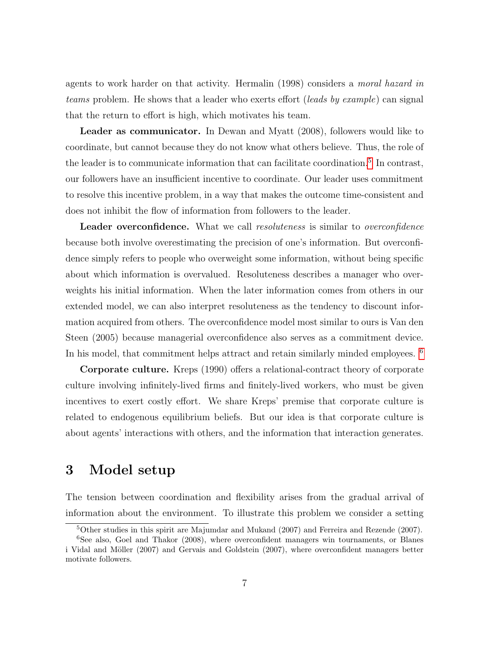agents to work harder on that activity. Hermalin (1998) considers a moral hazard in teams problem. He shows that a leader who exerts effort *(leads by example)* can signal that the return to effort is high, which motivates his team.

Leader as communicator. In Dewan and Myatt (2008), followers would like to coordinate, but cannot because they do not know what others believe. Thus, the role of the leader is to communicate information that can facilitate coordination.<sup>[5](#page-0-0)</sup> In contrast, our followers have an insufficient incentive to coordinate. Our leader uses commitment to resolve this incentive problem, in a way that makes the outcome time-consistent and does not inhibit the flow of information from followers to the leader.

**Leader overconfidence.** What we call *resoluteness* is similar to *overconfidence* because both involve overestimating the precision of one's information. But overconfidence simply refers to people who overweight some information, without being specific about which information is overvalued. Resoluteness describes a manager who overweights his initial information. When the later information comes from others in our extended model, we can also interpret resoluteness as the tendency to discount information acquired from others. The overconfidence model most similar to ours is Van den Steen (2005) because managerial overconfidence also serves as a commitment device. In his model, that commitment helps attract and retain similarly minded employees. <sup>[6](#page-0-0)</sup>

Corporate culture. Kreps (1990) offers a relational-contract theory of corporate culture involving infinitely-lived firms and finitely-lived workers, who must be given incentives to exert costly effort. We share Kreps' premise that corporate culture is related to endogenous equilibrium beliefs. But our idea is that corporate culture is about agents' interactions with others, and the information that interaction generates.

### <span id="page-8-0"></span>3 Model setup

The tension between coordination and flexibility arises from the gradual arrival of information about the environment. To illustrate this problem we consider a setting

 $5$ Other studies in this spirit are Majumdar and Mukand (2007) and Ferreira and Rezende (2007).

<sup>6</sup>See also, Goel and Thakor (2008), where overconfident managers win tournaments, or Blanes i Vidal and Möller (2007) and Gervais and Goldstein (2007), where overconfident managers better motivate followers.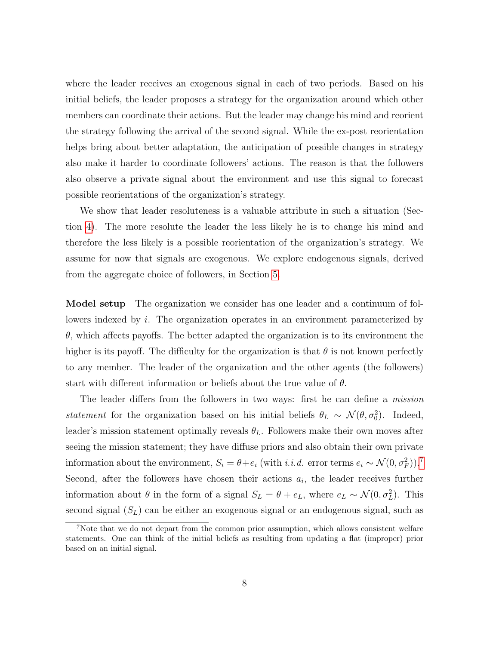where the leader receives an exogenous signal in each of two periods. Based on his initial beliefs, the leader proposes a strategy for the organization around which other members can coordinate their actions. But the leader may change his mind and reorient the strategy following the arrival of the second signal. While the ex-post reorientation helps bring about better adaptation, the anticipation of possible changes in strategy also make it harder to coordinate followers' actions. The reason is that the followers also observe a private signal about the environment and use this signal to forecast possible reorientations of the organization's strategy.

We show that leader resoluteness is a valuable attribute in such a situation (Section [4\)](#page-12-0). The more resolute the leader the less likely he is to change his mind and therefore the less likely is a possible reorientation of the organization's strategy. We assume for now that signals are exogenous. We explore endogenous signals, derived from the aggregate choice of followers, in Section [5.](#page-20-0)

Model setup The organization we consider has one leader and a continuum of followers indexed by i. The organization operates in an environment parameterized by  $\theta$ , which affects payoffs. The better adapted the organization is to its environment the higher is its payoff. The difficulty for the organization is that  $\theta$  is not known perfectly to any member. The leader of the organization and the other agents (the followers) start with different information or beliefs about the true value of  $\theta$ .

The leader differs from the followers in two ways: first he can define a *mission* statement for the organization based on his initial beliefs  $\theta_L \sim \mathcal{N}(\theta, \sigma_0^2)$ . Indeed, leader's mission statement optimally reveals  $\theta_L$ . Followers make their own moves after seeing the mission statement; they have diffuse priors and also obtain their own private information about the environment,  $S_i = \theta + e_i$  (with *i.i.d.* error terms  $e_i \sim \mathcal{N}(0, \sigma_F^2)$ ).<sup>[7](#page-0-0)</sup> Second, after the followers have chosen their actions  $a_i$ , the leader receives further information about  $\theta$  in the form of a signal  $S_L = \theta + e_L$ , where  $e_L \sim \mathcal{N}(0, \sigma_L^2)$ . This second signal  $(S_L)$  can be either an exogenous signal or an endogenous signal, such as

<sup>&</sup>lt;sup>7</sup>Note that we do not depart from the common prior assumption, which allows consistent welfare statements. One can think of the initial beliefs as resulting from updating a flat (improper) prior based on an initial signal.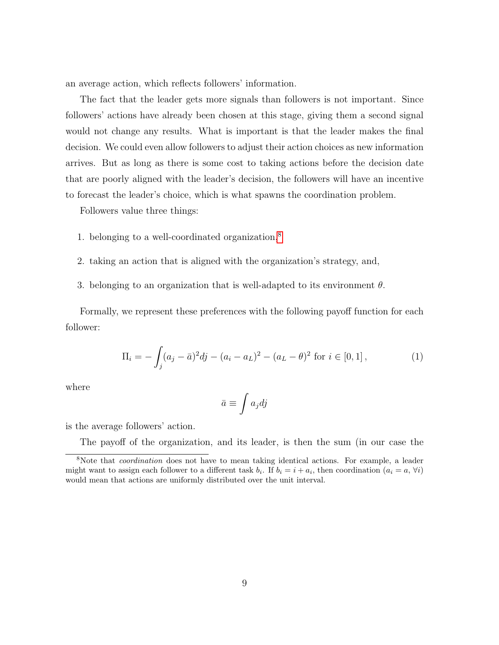an average action, which reflects followers' information.

The fact that the leader gets more signals than followers is not important. Since followers' actions have already been chosen at this stage, giving them a second signal would not change any results. What is important is that the leader makes the final decision. We could even allow followers to adjust their action choices as new information arrives. But as long as there is some cost to taking actions before the decision date that are poorly aligned with the leader's decision, the followers will have an incentive to forecast the leader's choice, which is what spawns the coordination problem.

Followers value three things:

- 1. belonging to a well-coordinated organization,[8](#page-0-0)
- 2. taking an action that is aligned with the organization's strategy, and,
- 3. belonging to an organization that is well-adapted to its environment  $\theta$ .

Formally, we represent these preferences with the following payoff function for each follower:

<span id="page-10-0"></span>
$$
\Pi_i = -\int_j (a_j - \bar{a})^2 dj - (a_i - a_L)^2 - (a_L - \theta)^2 \text{ for } i \in [0, 1], \tag{1}
$$

where

$$
\bar{a} \equiv \int a_j dj
$$

is the average followers' action.

The payoff of the organization, and its leader, is then the sum (in our case the

<sup>&</sup>lt;sup>8</sup>Note that *coordination* does not have to mean taking identical actions. For example, a leader might want to assign each follower to a different task  $b_i$ . If  $b_i = i + a_i$ , then coordination  $(a_i = a, \forall i)$ would mean that actions are uniformly distributed over the unit interval.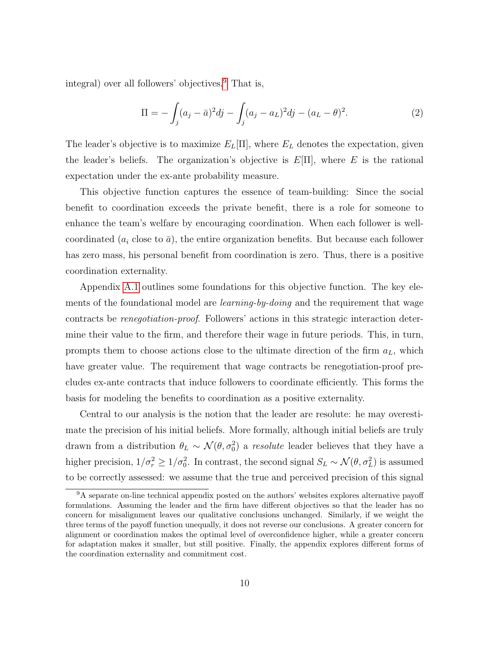integral) over all followers' objectives.[9](#page-0-0) That is,

$$
\Pi = -\int_{j}^{j} (a_{j} - \bar{a})^{2} dj - \int_{j}^{j} (a_{j} - a_{L})^{2} dj - (a_{L} - \theta)^{2}.
$$
 (2)

The leader's objective is to maximize  $E_L[\Pi]$ , where  $E_L$  denotes the expectation, given the leader's beliefs. The organization's objective is  $E[\Pi]$ , where E is the rational expectation under the ex-ante probability measure.

This objective function captures the essence of team-building: Since the social benefit to coordination exceeds the private benefit, there is a role for someone to enhance the team's welfare by encouraging coordination. When each follower is wellcoordinated ( $a_i$  close to  $\bar{a}$ ), the entire organization benefits. But because each follower has zero mass, his personal benefit from coordination is zero. Thus, there is a positive coordination externality.

Appendix [A.1](#page-30-0) outlines some foundations for this objective function. The key elements of the foundational model are *learning-by-doing* and the requirement that wage contracts be renegotiation-proof. Followers' actions in this strategic interaction determine their value to the firm, and therefore their wage in future periods. This, in turn, prompts them to choose actions close to the ultimate direction of the firm  $a<sub>L</sub>$ , which have greater value. The requirement that wage contracts be renegotiation-proof precludes ex-ante contracts that induce followers to coordinate efficiently. This forms the basis for modeling the benefits to coordination as a positive externality.

Central to our analysis is the notion that the leader are resolute: he may overestimate the precision of his initial beliefs. More formally, although initial beliefs are truly drawn from a distribution  $\theta_L \sim \mathcal{N}(\theta, \sigma_0^2)$  a *resolute* leader believes that they have a higher precision,  $1/\sigma_r^2 \geq 1/\sigma_0^2$ . In contrast, the second signal  $S_L \sim \mathcal{N}(\theta, \sigma_L^2)$  is assumed to be correctly assessed: we assume that the true and perceived precision of this signal

<sup>&</sup>lt;sup>9</sup>A separate on-line technical appendix posted on the authors' websites explores alternative payoff formulations. Assuming the leader and the firm have different objectives so that the leader has no concern for misalignment leaves our qualitative conclusions unchanged. Similarly, if we weight the three terms of the payoff function unequally, it does not reverse our conclusions. A greater concern for alignment or coordination makes the optimal level of overconfidence higher, while a greater concern for adaptation makes it smaller, but still positive. Finally, the appendix explores different forms of the coordination externality and commitment cost.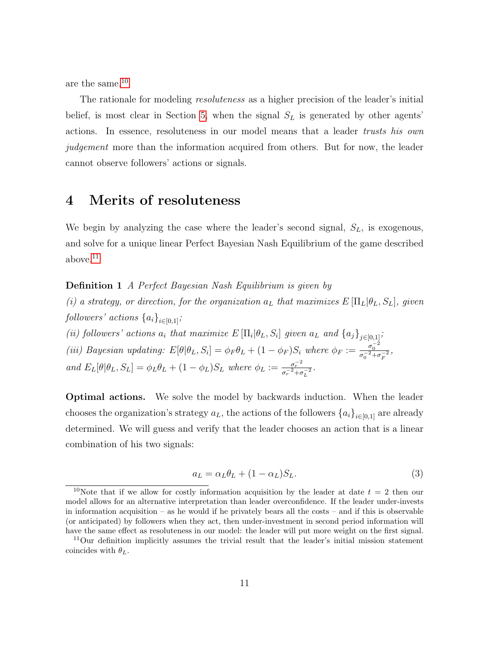are the same.[10](#page-0-0)

The rationale for modeling *resoluteness* as a higher precision of the leader's initial belief, is most clear in Section [5,](#page-20-0) when the signal  $S_L$  is generated by other agents' actions. In essence, resoluteness in our model means that a leader trusts his own judgement more than the information acquired from others. But for now, the leader cannot observe followers' actions or signals.

### <span id="page-12-0"></span>4 Merits of resoluteness

We begin by analyzing the case where the leader's second signal,  $S_L$ , is exogenous, and solve for a unique linear Perfect Bayesian Nash Equilibrium of the game described above.<sup>[11](#page-0-0)</sup>

#### **Definition 1** A Perfect Bayesian Nash Equilibrium is given by

(i) a strategy, or direction, for the organization  $a_L$  that maximizes  $E[\Pi_L|\theta_L, S_L]$ , given followers' actions  ${a_i}_{i \in [0,1]}$ ;

(ii) followers' actions  $a_i$  that maximize  $E[\Pi_i|\theta_L, S_i]$  given  $a_L$  and  $\{a_j\}_{j\in[0,1]};$ (iii) Bayesian updating:  $E[\theta | \theta_L, S_i] = \phi_F \theta_L + (1 - \phi_F) S_i$  where  $\phi_F := \frac{\sigma_0^{-2}}{\sigma_0^{-2} + \sigma_F^{-2}}$ , and  $E_L[\theta | \theta_L, S_L] = \phi_L \theta_L + (1 - \phi_L) S_L$  where  $\phi_L := \frac{\sigma_r^{-2}}{\sigma_r^{-2} + \sigma_L^{-2}}$ .

Optimal actions. We solve the model by backwards induction. When the leader chooses the organization's strategy  $a_L$ , the actions of the followers  ${a_i}_{i \in [0,1]}$  are already determined. We will guess and verify that the leader chooses an action that is a linear combination of his two signals:

<span id="page-12-1"></span>
$$
a_L = \alpha_L \theta_L + (1 - \alpha_L) S_L. \tag{3}
$$

<sup>&</sup>lt;sup>10</sup>Note that if we allow for costly information acquisition by the leader at date  $t = 2$  then our model allows for an alternative interpretation than leader overconfidence. If the leader under-invests in information acquisition – as he would if he privately bears all the costs – and if this is observable (or anticipated) by followers when they act, then under-investment in second period information will have the same effect as resoluteness in our model: the leader will put more weight on the first signal.

<sup>11</sup>Our definition implicitly assumes the trivial result that the leader's initial mission statement coincides with  $\theta_L$ .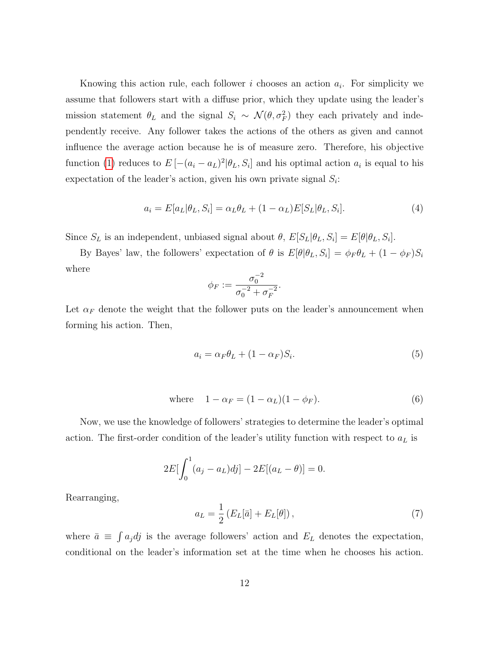Knowing this action rule, each follower  $i$  chooses an action  $a_i$ . For simplicity we assume that followers start with a diffuse prior, which they update using the leader's mission statement  $\theta_L$  and the signal  $S_i \sim \mathcal{N}(\theta, \sigma_F^2)$  they each privately and independently receive. Any follower takes the actions of the others as given and cannot influence the average action because he is of measure zero. Therefore, his objective function [\(1\)](#page-10-0) reduces to  $E\left[ -(a_i - a_k)^2 | \theta_k, S_i \right]$  and his optimal action  $a_i$  is equal to his expectation of the leader's action, given his own private signal  $S_i$ :

$$
a_i = E[a_L | \theta_L, S_i] = \alpha_L \theta_L + (1 - \alpha_L) E[S_L | \theta_L, S_i]. \tag{4}
$$

Since  $S_L$  is an independent, unbiased signal about  $\theta$ ,  $E[S_L | \theta_L, S_i] = E[\theta | \theta_L, S_i]$ .

By Bayes' law, the followers' expectation of  $\theta$  is  $E[\theta|\theta_L, S_i] = \phi_F \theta_L + (1 - \phi_F)S_i$ where

$$
\phi_F:=\frac{\sigma_0^{-2}}{\sigma_0^{-2}+\sigma_F^{-2}}.
$$

Let  $\alpha_F$  denote the weight that the follower puts on the leader's announcement when forming his action. Then,

<span id="page-13-0"></span>
$$
a_i = \alpha_F \theta_L + (1 - \alpha_F) S_i. \tag{5}
$$

where 
$$
1 - \alpha_F = (1 - \alpha_L)(1 - \phi_F). \tag{6}
$$

<span id="page-13-2"></span>Now, we use the knowledge of followers' strategies to determine the leader's optimal action. The first-order condition of the leader's utility function with respect to  $a<sub>L</sub>$  is

<span id="page-13-1"></span>
$$
2E[\int_0^1 (a_j - a_L)dj] - 2E[(a_L - \theta)] = 0.
$$

Rearranging,

$$
a_L = \frac{1}{2} \left( E_L[\bar{a}] + E_L[\theta] \right),\tag{7}
$$

where  $\bar{a} \equiv \int a_j \dot{d}j$  is the average followers' action and  $E_L$  denotes the expectation, conditional on the leader's information set at the time when he chooses his action.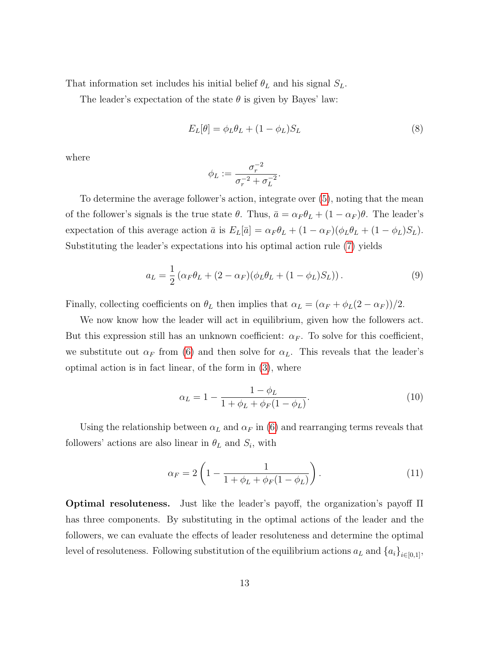That information set includes his initial belief  $\theta_L$  and his signal  $S_L$ .

The leader's expectation of the state  $\theta$  is given by Bayes' law:

$$
E_L[\theta] = \phi_L \theta_L + (1 - \phi_L) S_L \tag{8}
$$

where

$$
\phi_L := \frac{\sigma_r^{-2}}{\sigma_r^{-2} + \sigma_L^{-2}}.
$$

To determine the average follower's action, integrate over [\(5\)](#page-13-0), noting that the mean of the follower's signals is the true state  $\theta$ . Thus,  $\bar{a} = \alpha_F \theta_L + (1 - \alpha_F)\theta$ . The leader's expectation of this average action  $\bar{a}$  is  $E_L[\bar{a}] = \alpha_F \theta_L + (1 - \alpha_F)(\phi_L \theta_L + (1 - \phi_L)S_L)$ . Substituting the leader's expectations into his optimal action rule [\(7\)](#page-13-1) yields

$$
a_L = \frac{1}{2} \left( \alpha_F \theta_L + (2 - \alpha_F) (\phi_L \theta_L + (1 - \phi_L) S_L) \right). \tag{9}
$$

Finally, collecting coefficients on  $\theta_L$  then implies that  $\alpha_L = (\alpha_F + \phi_L(2 - \alpha_F))/2$ .

We now know how the leader will act in equilibrium, given how the followers act. But this expression still has an unknown coefficient:  $\alpha_F$ . To solve for this coefficient, we substitute out  $\alpha_F$  from [\(6\)](#page-13-2) and then solve for  $\alpha_L$ . This reveals that the leader's optimal action is in fact linear, of the form in [\(3\)](#page-12-1), where

<span id="page-14-1"></span><span id="page-14-0"></span>
$$
\alpha_L = 1 - \frac{1 - \phi_L}{1 + \phi_L + \phi_F(1 - \phi_L)}.\tag{10}
$$

Using the relationship between  $\alpha_L$  and  $\alpha_F$  in [\(6\)](#page-13-2) and rearranging terms reveals that followers' actions are also linear in  $\theta_L$  and  $S_i$ , with

$$
\alpha_F = 2\left(1 - \frac{1}{1 + \phi_L + \phi_F(1 - \phi_L)}\right). \tag{11}
$$

Optimal resoluteness. Just like the leader's payoff, the organization's payoff Π has three components. By substituting in the optimal actions of the leader and the followers, we can evaluate the effects of leader resoluteness and determine the optimal level of resoluteness. Following substitution of the equilibrium actions  $a_L$  and  $\{a_i\}_{i\in[0,1]},$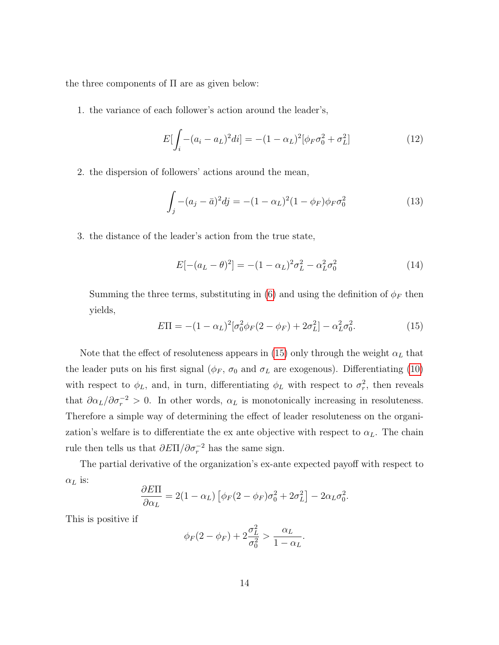the three components of  $\Pi$  are as given below:

1. the variance of each follower's action around the leader's,

$$
E\left[\int_{i} - (a_i - a_L)^2 \, di\right] = -(1 - \alpha_L)^2 \left[\phi_F \sigma_0^2 + \sigma_L^2\right] \tag{12}
$$

2. the dispersion of followers' actions around the mean,

$$
\int_{j} -(a_{j} - \bar{a})^{2} d j = -(1 - \alpha_{L})^{2} (1 - \phi_{F}) \phi_{F} \sigma_{0}^{2}
$$
\n(13)

3. the distance of the leader's action from the true state,

$$
E[-(a_L - \theta)^2] = -(1 - \alpha_L)^2 \sigma_L^2 - \alpha_L^2 \sigma_0^2 \tag{14}
$$

<span id="page-15-0"></span>Summing the three terms, substituting in [\(6\)](#page-13-2) and using the definition of  $\phi_F$  then yields,

$$
E\Pi = -(1 - \alpha_L)^2 [\sigma_0^2 \phi_F (2 - \phi_F) + 2\sigma_L^2] - \alpha_L^2 \sigma_0^2.
$$
 (15)

Note that the effect of resoluteness appears in [\(15\)](#page-15-0) only through the weight  $\alpha_L$  that the leader puts on his first signal ( $\phi_F$ ,  $\sigma_0$  and  $\sigma_L$  are exogenous). Differentiating [\(10\)](#page-14-0) with respect to  $\phi_L$ , and, in turn, differentiating  $\phi_L$  with respect to  $\sigma_r^2$ , then reveals that  $\partial \alpha_L/\partial \sigma_r^{-2} > 0$ . In other words,  $\alpha_L$  is monotonically increasing in resoluteness. Therefore a simple way of determining the effect of leader resoluteness on the organization's welfare is to differentiate the ex ante objective with respect to  $\alpha_L$ . The chain rule then tells us that  $\partial E\Pi/\partial \sigma_r^{-2}$  has the same sign.

The partial derivative of the organization's ex-ante expected payoff with respect to  $\alpha_L$  is:

$$
\frac{\partial E\Pi}{\partial \alpha_L} = 2(1 - \alpha_L) \left[ \phi_F (2 - \phi_F) \sigma_0^2 + 2\sigma_L^2 \right] - 2\alpha_L \sigma_0^2.
$$

This is positive if

$$
\phi_F(2-\phi_F) + 2\frac{\sigma_L^2}{\sigma_0^2} > \frac{\alpha_L}{1-\alpha_L}.
$$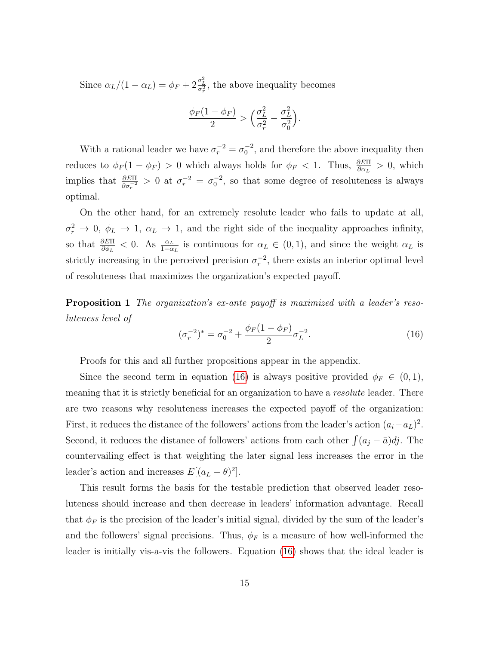Since  $\alpha_L/(1 - \alpha_L) = \phi_F + 2\frac{\sigma_L^2}{\sigma_r^2}$ , the above inequality becomes

$$
\frac{\phi_F(1-\phi_F)}{2} > \Big(\frac{\sigma_L^2}{\sigma_r^2} - \frac{\sigma_L^2}{\sigma_0^2}\Big).
$$

With a rational leader we have  $\sigma_r^{-2} = \sigma_0^{-2}$ , and therefore the above inequality then reduces to  $\phi_F(1-\phi_F) > 0$  which always holds for  $\phi_F < 1$ . Thus,  $\frac{\partial E\Pi}{\partial \alpha_L} > 0$ , which implies that  $\frac{\partial E\Pi}{\partial \sigma_r^{-2}} > 0$  at  $\sigma_r^{-2} = \sigma_0^{-2}$ , so that some degree of resoluteness is always optimal.

On the other hand, for an extremely resolute leader who fails to update at all,  $\sigma_r^2 \to 0$ ,  $\phi_L \to 1$ ,  $\alpha_L \to 1$ , and the right side of the inequality approaches infinity, so that  $\frac{\partial E\Pi}{\partial \phi_L}$  < 0. As  $\frac{\alpha_L}{1-\alpha_L}$  is continuous for  $\alpha_L \in (0,1)$ , and since the weight  $\alpha_L$  is strictly increasing in the perceived precision  $\sigma_r^{-2}$ , there exists an interior optimal level of resoluteness that maximizes the organization's expected payoff.

**Proposition 1** The organization's ex-ante payoff is maximized with a leader's resoluteness level of

<span id="page-16-0"></span>
$$
(\sigma_r^{-2})^* = \sigma_0^{-2} + \frac{\phi_F (1 - \phi_F)}{2} \sigma_L^{-2}.
$$
 (16)

Proofs for this and all further propositions appear in the appendix.

Since the second term in equation [\(16\)](#page-16-0) is always positive provided  $\phi_F \in (0,1)$ , meaning that it is strictly beneficial for an organization to have a *resolute* leader. There are two reasons why resoluteness increases the expected payoff of the organization: First, it reduces the distance of the followers' actions from the leader's action  $(a_i - a_L)^2$ . Second, it reduces the distance of followers' actions from each other  $\int (a_j - \bar{a}) dj$ . The countervailing effect is that weighting the later signal less increases the error in the leader's action and increases  $E[(a_L - \theta)^2]$ .

This result forms the basis for the testable prediction that observed leader resoluteness should increase and then decrease in leaders' information advantage. Recall that  $\phi_F$  is the precision of the leader's initial signal, divided by the sum of the leader's and the followers' signal precisions. Thus,  $\phi_F$  is a measure of how well-informed the leader is initially vis-a-vis the followers. Equation [\(16\)](#page-16-0) shows that the ideal leader is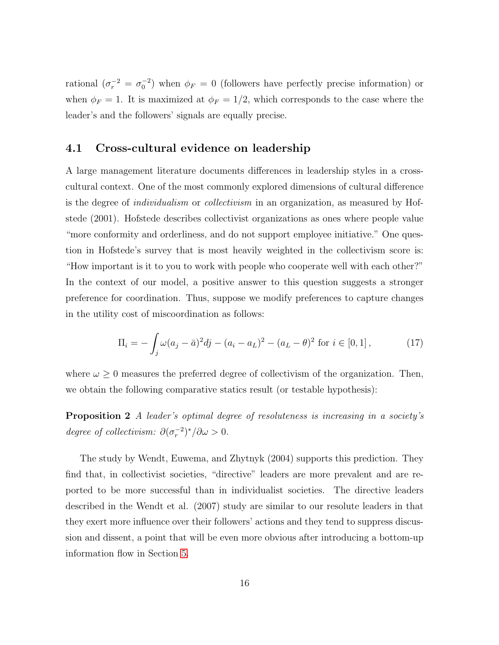rational  $(\sigma_r^{-2} = \sigma_0^{-2})$  when  $\phi_F = 0$  (followers have perfectly precise information) or when  $\phi_F = 1$ . It is maximized at  $\phi_F = 1/2$ , which corresponds to the case where the leader's and the followers' signals are equally precise.

#### 4.1 Cross-cultural evidence on leadership

A large management literature documents differences in leadership styles in a crosscultural context. One of the most commonly explored dimensions of cultural difference is the degree of individualism or collectivism in an organization, as measured by Hofstede (2001). Hofstede describes collectivist organizations as ones where people value "more conformity and orderliness, and do not support employee initiative." One question in Hofstede's survey that is most heavily weighted in the collectivism score is: "How important is it to you to work with people who cooperate well with each other?" In the context of our model, a positive answer to this question suggests a stronger preference for coordination. Thus, suppose we modify preferences to capture changes in the utility cost of miscoordination as follows:

$$
\Pi_i = -\int_j \omega (a_j - \bar{a})^2 dj - (a_i - a_L)^2 - (a_L - \theta)^2 \text{ for } i \in [0, 1], \tag{17}
$$

where  $\omega \geq 0$  measures the preferred degree of collectivism of the organization. Then, we obtain the following comparative statics result (or testable hypothesis):

<span id="page-17-0"></span>**Proposition 2** A leader's optimal degree of resoluteness is increasing in a society's degree of collectivism:  $\partial (\sigma_r^{-2})^* / \partial \omega > 0$ .

The study by Wendt, Euwema, and Zhytnyk (2004) supports this prediction. They find that, in collectivist societies, "directive" leaders are more prevalent and are reported to be more successful than in individualist societies. The directive leaders described in the Wendt et al. (2007) study are similar to our resolute leaders in that they exert more influence over their followers' actions and they tend to suppress discussion and dissent, a point that will be even more obvious after introducing a bottom-up information flow in Section [5.](#page-20-0)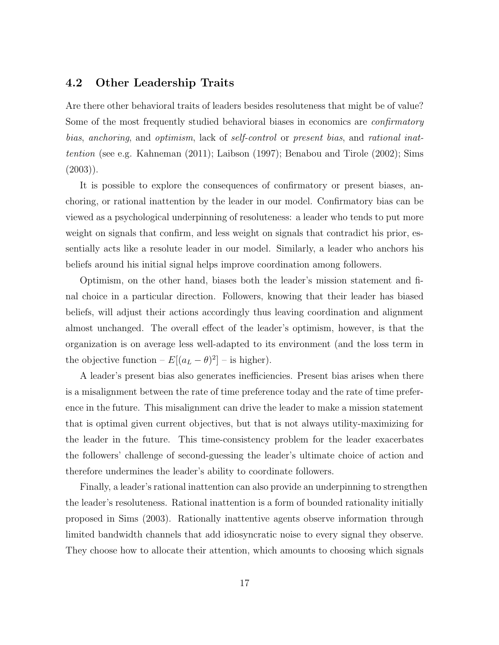### 4.2 Other Leadership Traits

Are there other behavioral traits of leaders besides resoluteness that might be of value? Some of the most frequently studied behavioral biases in economics are *confirmatory* bias, anchoring, and optimism, lack of self-control or present bias, and rational inattention (see e.g. Kahneman (2011); Laibson (1997); Benabou and Tirole (2002); Sims  $(2003)$ ).

It is possible to explore the consequences of confirmatory or present biases, anchoring, or rational inattention by the leader in our model. Confirmatory bias can be viewed as a psychological underpinning of resoluteness: a leader who tends to put more weight on signals that confirm, and less weight on signals that contradict his prior, essentially acts like a resolute leader in our model. Similarly, a leader who anchors his beliefs around his initial signal helps improve coordination among followers.

Optimism, on the other hand, biases both the leader's mission statement and final choice in a particular direction. Followers, knowing that their leader has biased beliefs, will adjust their actions accordingly thus leaving coordination and alignment almost unchanged. The overall effect of the leader's optimism, however, is that the organization is on average less well-adapted to its environment (and the loss term in the objective function  $-E[(a_L - \theta)^2]$  – is higher).

A leader's present bias also generates inefficiencies. Present bias arises when there is a misalignment between the rate of time preference today and the rate of time preference in the future. This misalignment can drive the leader to make a mission statement that is optimal given current objectives, but that is not always utility-maximizing for the leader in the future. This time-consistency problem for the leader exacerbates the followers' challenge of second-guessing the leader's ultimate choice of action and therefore undermines the leader's ability to coordinate followers.

Finally, a leader's rational inattention can also provide an underpinning to strengthen the leader's resoluteness. Rational inattention is a form of bounded rationality initially proposed in Sims (2003). Rationally inattentive agents observe information through limited bandwidth channels that add idiosyncratic noise to every signal they observe. They choose how to allocate their attention, which amounts to choosing which signals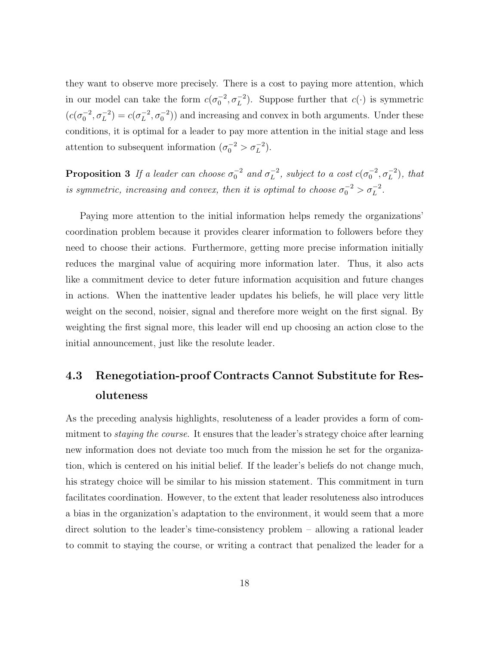they want to observe more precisely. There is a cost to paying more attention, which in our model can take the form  $c(\sigma_0^{-2}, \sigma_L^{-2})$ . Suppose further that  $c(\cdot)$  is symmetric  $(c(\sigma_0^{-2}, \sigma_L^{-2}) = c(\sigma_L^{-2})$  $(L^2, \sigma_0^{-2})$  and increasing and convex in both arguments. Under these conditions, it is optimal for a leader to pay more attention in the initial stage and less attention to subsequent information  $(\sigma_0^{-2} > \sigma_L^{-2})$ .

<span id="page-19-1"></span>**Proposition 3** If a leader can choose  $\sigma_0^{-2}$  and  $\sigma_L^{-2}$  $L^2$ , subject to a cost  $c(\sigma_0^{-2}, \sigma_L^{-2})$ , that is symmetric, increasing and convex, then it is optimal to choose  $\sigma_0^{-2} > \sigma_L^{-2}$ .

Paying more attention to the initial information helps remedy the organizations' coordination problem because it provides clearer information to followers before they need to choose their actions. Furthermore, getting more precise information initially reduces the marginal value of acquiring more information later. Thus, it also acts like a commitment device to deter future information acquisition and future changes in actions. When the inattentive leader updates his beliefs, he will place very little weight on the second, noisier, signal and therefore more weight on the first signal. By weighting the first signal more, this leader will end up choosing an action close to the initial announcement, just like the resolute leader.

# <span id="page-19-0"></span>4.3 Renegotiation-proof Contracts Cannot Substitute for Resoluteness

As the preceding analysis highlights, resoluteness of a leader provides a form of commitment to staying the course. It ensures that the leader's strategy choice after learning new information does not deviate too much from the mission he set for the organization, which is centered on his initial belief. If the leader's beliefs do not change much, his strategy choice will be similar to his mission statement. This commitment in turn facilitates coordination. However, to the extent that leader resoluteness also introduces a bias in the organization's adaptation to the environment, it would seem that a more direct solution to the leader's time-consistency problem – allowing a rational leader to commit to staying the course, or writing a contract that penalized the leader for a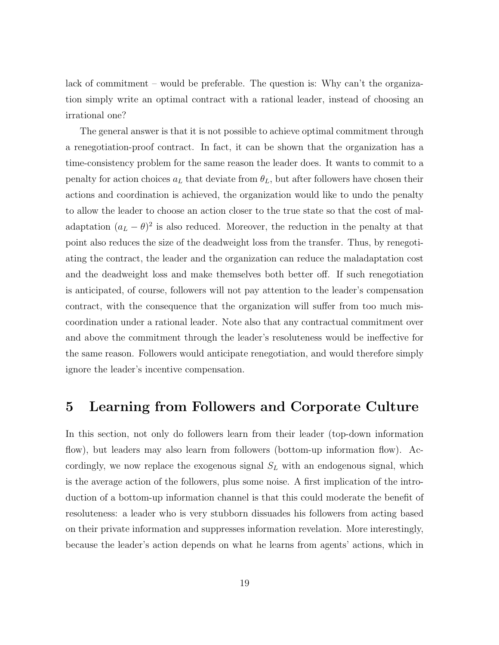lack of commitment – would be preferable. The question is: Why can't the organization simply write an optimal contract with a rational leader, instead of choosing an irrational one?

The general answer is that it is not possible to achieve optimal commitment through a renegotiation-proof contract. In fact, it can be shown that the organization has a time-consistency problem for the same reason the leader does. It wants to commit to a penalty for action choices  $a_L$  that deviate from  $\theta_L$ , but after followers have chosen their actions and coordination is achieved, the organization would like to undo the penalty to allow the leader to choose an action closer to the true state so that the cost of maladaptation  $(a<sub>L</sub> - \theta)<sup>2</sup>$  is also reduced. Moreover, the reduction in the penalty at that point also reduces the size of the deadweight loss from the transfer. Thus, by renegotiating the contract, the leader and the organization can reduce the maladaptation cost and the deadweight loss and make themselves both better off. If such renegotiation is anticipated, of course, followers will not pay attention to the leader's compensation contract, with the consequence that the organization will suffer from too much miscoordination under a rational leader. Note also that any contractual commitment over and above the commitment through the leader's resoluteness would be ineffective for the same reason. Followers would anticipate renegotiation, and would therefore simply ignore the leader's incentive compensation.

### <span id="page-20-0"></span>5 Learning from Followers and Corporate Culture

In this section, not only do followers learn from their leader (top-down information flow), but leaders may also learn from followers (bottom-up information flow). Accordingly, we now replace the exogenous signal  $S_L$  with an endogenous signal, which is the average action of the followers, plus some noise. A first implication of the introduction of a bottom-up information channel is that this could moderate the benefit of resoluteness: a leader who is very stubborn dissuades his followers from acting based on their private information and suppresses information revelation. More interestingly, because the leader's action depends on what he learns from agents' actions, which in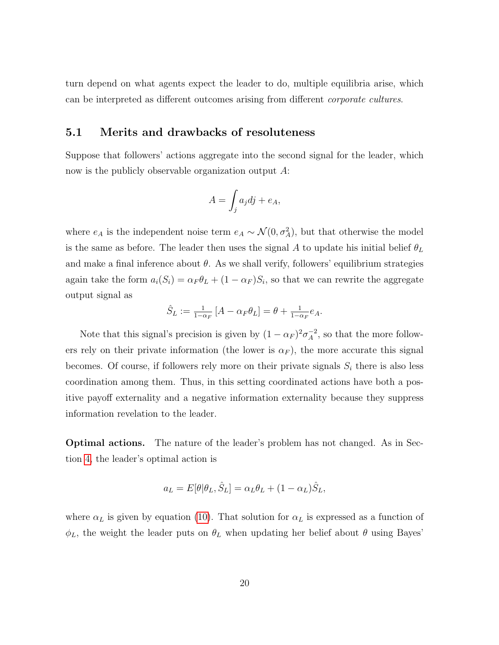turn depend on what agents expect the leader to do, multiple equilibria arise, which can be interpreted as different outcomes arising from different corporate cultures.

### 5.1 Merits and drawbacks of resoluteness

Suppose that followers' actions aggregate into the second signal for the leader, which now is the publicly observable organization output A:

$$
A = \int_j a_j dj + e_A,
$$

where  $e_A$  is the independent noise term  $e_A \sim \mathcal{N}(0, \sigma_A^2)$ , but that otherwise the model is the same as before. The leader then uses the signal  $A$  to update his initial belief  $\theta_L$ and make a final inference about  $\theta$ . As we shall verify, followers' equilibrium strategies again take the form  $a_i(S_i) = \alpha_F \theta_L + (1 - \alpha_F)S_i$ , so that we can rewrite the aggregate output signal as

$$
\hat{S}_L := \frac{1}{1 - \alpha_F} \left[ A - \alpha_F \theta_L \right] = \theta + \frac{1}{1 - \alpha_F} e_A.
$$

Note that this signal's precision is given by  $(1 - \alpha_F)^2 \sigma_A^{-2}$  $_A^{-2}$ , so that the more followers rely on their private information (the lower is  $\alpha_F$ ), the more accurate this signal becomes. Of course, if followers rely more on their private signals  $S_i$  there is also less coordination among them. Thus, in this setting coordinated actions have both a positive payoff externality and a negative information externality because they suppress information revelation to the leader.

Optimal actions. The nature of the leader's problem has not changed. As in Section [4,](#page-12-0) the leader's optimal action is

$$
a_L = E[\theta | \theta_L, \hat{S}_L] = \alpha_L \theta_L + (1 - \alpha_L) \hat{S}_L,
$$

where  $\alpha_L$  is given by equation [\(10\)](#page-14-0). That solution for  $\alpha_L$  is expressed as a function of  $\phi_L$ , the weight the leader puts on  $\theta_L$  when updating her belief about  $\theta$  using Bayes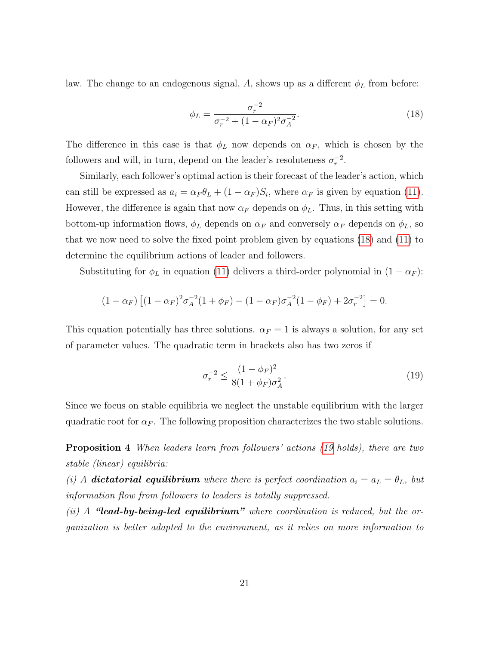law. The change to an endogenous signal, A, shows up as a different  $\phi_L$  from before:

<span id="page-22-0"></span>
$$
\phi_L = \frac{\sigma_r^{-2}}{\sigma_r^{-2} + (1 - \alpha_F)^2 \sigma_A^{-2}}.
$$
\n(18)

The difference in this case is that  $\phi_L$  now depends on  $\alpha_F$ , which is chosen by the followers and will, in turn, depend on the leader's resoluteness  $\sigma_r^{-2}$ .

Similarly, each follower's optimal action is their forecast of the leader's action, which can still be expressed as  $a_i = \alpha_F \theta_L + (1 - \alpha_F)S_i$ , where  $\alpha_F$  is given by equation [\(11\)](#page-14-1). However, the difference is again that now  $\alpha_F$  depends on  $\phi_L$ . Thus, in this setting with bottom-up information flows,  $\phi_L$  depends on  $\alpha_F$  and conversely  $\alpha_F$  depends on  $\phi_L$ , so that we now need to solve the fixed point problem given by equations [\(18\)](#page-22-0) and [\(11\)](#page-14-1) to determine the equilibrium actions of leader and followers.

Substituting for  $\phi_L$  in equation [\(11\)](#page-14-1) delivers a third-order polynomial in  $(1 - \alpha_F)$ :

$$
(1 - \alpha_F) \left[ (1 - \alpha_F)^2 \sigma_A^{-2} (1 + \phi_F) - (1 - \alpha_F) \sigma_A^{-2} (1 - \phi_F) + 2 \sigma_F^{-2} \right] = 0.
$$

This equation potentially has three solutions.  $\alpha_F = 1$  is always a solution, for any set of parameter values. The quadratic term in brackets also has two zeros if

<span id="page-22-1"></span>
$$
\sigma_r^{-2} \le \frac{(1 - \phi_F)^2}{8(1 + \phi_F)\sigma_A^2}.\tag{19}
$$

Since we focus on stable equilibria we neglect the unstable equilibrium with the larger quadratic root for  $\alpha_F$ . The following proposition characterizes the two stable solutions.

<span id="page-22-2"></span>Proposition 4 When leaders learn from followers' actions [\(19](#page-22-1) holds), there are two stable (linear) equilibria:

(i) A **dictatorial equilibrium** where there is perfect coordination  $a_i = a_L = \theta_L$ , but information flow from followers to leaders is totally suppressed.

(ii) A "lead-by-being-led equilibrium" where coordination is reduced, but the organization is better adapted to the environment, as it relies on more information to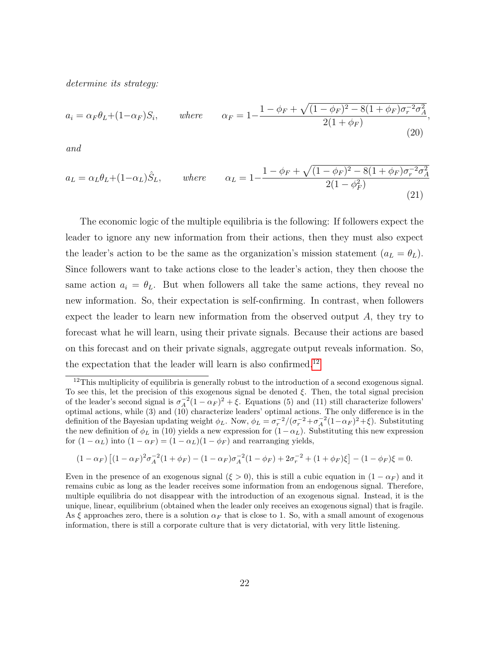determine its strategy:

$$
a_i = \alpha_F \theta_L + (1 - \alpha_F)S_i, \qquad \text{where} \qquad \alpha_F = 1 - \frac{1 - \phi_F + \sqrt{(1 - \phi_F)^2 - 8(1 + \phi_F)\sigma_r^{-2}\sigma_A^2}}{2(1 + \phi_F)}
$$
(20)

,

and

$$
a_L = \alpha_L \theta_L + (1 - \alpha_L)\hat{S}_L, \qquad \text{where} \qquad \alpha_L = 1 - \frac{1 - \phi_F + \sqrt{(1 - \phi_F)^2 - 8(1 + \phi_F)\sigma_r^{-2}\sigma_A^2}}{2(1 - \phi_F^2)}
$$
(21)

The economic logic of the multiple equilibria is the following: If followers expect the leader to ignore any new information from their actions, then they must also expect the leader's action to be the same as the organization's mission statement  $(a_L = \theta_L)$ . Since followers want to take actions close to the leader's action, they then choose the same action  $a_i = \theta_L$ . But when followers all take the same actions, they reveal no new information. So, their expectation is self-confirming. In contrast, when followers expect the leader to learn new information from the observed output  $A$ , they try to forecast what he will learn, using their private signals. Because their actions are based on this forecast and on their private signals, aggregate output reveals information. So, the expectation that the leader will learn is also confirmed.<sup>[12](#page-0-0)</sup>

$$
(1 - \alpha_F) \left[ (1 - \alpha_F)^2 \sigma_A^{-2} (1 + \phi_F) - (1 - \alpha_F) \sigma_A^{-2} (1 - \phi_F) + 2 \sigma_F^{-2} + (1 + \phi_F) \xi \right] - (1 - \phi_F) \xi = 0.
$$

 $12$ This multiplicity of equilibria is generally robust to the introduction of a second exogenous signal. To see this, let the precision of this exogenous signal be denoted  $\xi$ . Then, the total signal precision of the leader's second signal is  $\sigma_A^{-2}(1-\alpha_F)^2 + \xi$ . Equations (5) and (11) still characterize followers' optimal actions, while (3) and (10) characterize leaders' optimal actions. The only difference is in the definition of the Bayesian updating weight  $\phi_L$ . Now,  $\phi_L = \sigma_r^{-2}/(\sigma_r^{-2} + \sigma_A^{-2}(1-\alpha_F)^2 + \xi)$ . Substituting the new definition of  $\phi_L$  in (10) yields a new expression for  $(1 - \alpha_L)$ . Substituting this new expression for  $(1 - \alpha_L)$  into  $(1 - \alpha_F) = (1 - \alpha_L)(1 - \phi_F)$  and rearranging yields,

Even in the presence of an exogenous signal ( $\xi > 0$ ), this is still a cubic equation in  $(1 - \alpha_F)$  and it remains cubic as long as the leader receives some information from an endogenous signal. Therefore, multiple equilibria do not disappear with the introduction of an exogenous signal. Instead, it is the unique, linear, equilibrium (obtained when the leader only receives an exogenous signal) that is fragile. As  $\xi$  approaches zero, there is a solution  $\alpha_F$  that is close to 1. So, with a small amount of exogenous information, there is still a corporate culture that is very dictatorial, with very little listening.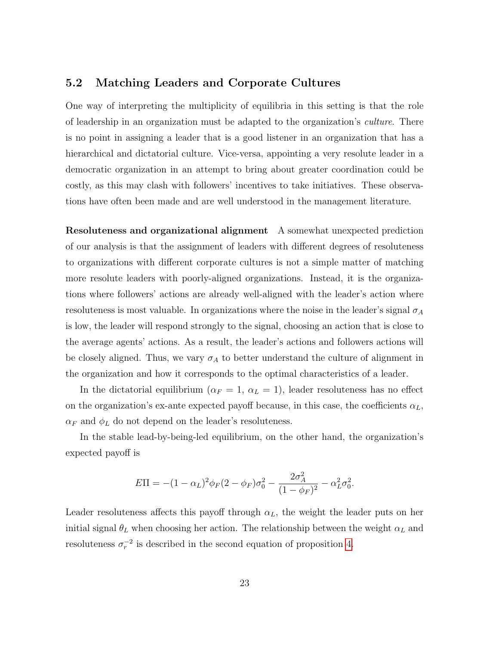### 5.2 Matching Leaders and Corporate Cultures

One way of interpreting the multiplicity of equilibria in this setting is that the role of leadership in an organization must be adapted to the organization's culture. There is no point in assigning a leader that is a good listener in an organization that has a hierarchical and dictatorial culture. Vice-versa, appointing a very resolute leader in a democratic organization in an attempt to bring about greater coordination could be costly, as this may clash with followers' incentives to take initiatives. These observations have often been made and are well understood in the management literature.

Resoluteness and organizational alignment A somewhat unexpected prediction of our analysis is that the assignment of leaders with different degrees of resoluteness to organizations with different corporate cultures is not a simple matter of matching more resolute leaders with poorly-aligned organizations. Instead, it is the organizations where followers' actions are already well-aligned with the leader's action where resoluteness is most valuable. In organizations where the noise in the leader's signal  $\sigma_A$ is low, the leader will respond strongly to the signal, choosing an action that is close to the average agents' actions. As a result, the leader's actions and followers actions will be closely aligned. Thus, we vary  $\sigma_A$  to better understand the culture of alignment in the organization and how it corresponds to the optimal characteristics of a leader.

In the dictatorial equilibrium ( $\alpha_F = 1$ ,  $\alpha_L = 1$ ), leader resoluteness has no effect on the organization's ex-ante expected payoff because, in this case, the coefficients  $\alpha_L$ ,  $\alpha_F$  and  $\phi_L$  do not depend on the leader's resoluteness.

In the stable lead-by-being-led equilibrium, on the other hand, the organization's expected payoff is

$$
E\Pi = -(1 - \alpha_L)^2 \phi_F (2 - \phi_F) \sigma_0^2 - \frac{2\sigma_A^2}{(1 - \phi_F)^2} - \alpha_L^2 \sigma_0^2.
$$

Leader resoluteness affects this payoff through  $\alpha_L$ , the weight the leader puts on her initial signal  $\theta_L$  when choosing her action. The relationship between the weight  $\alpha_L$  and resoluteness  $\sigma_r^{-2}$  is described in the second equation of proposition [4.](#page-22-2)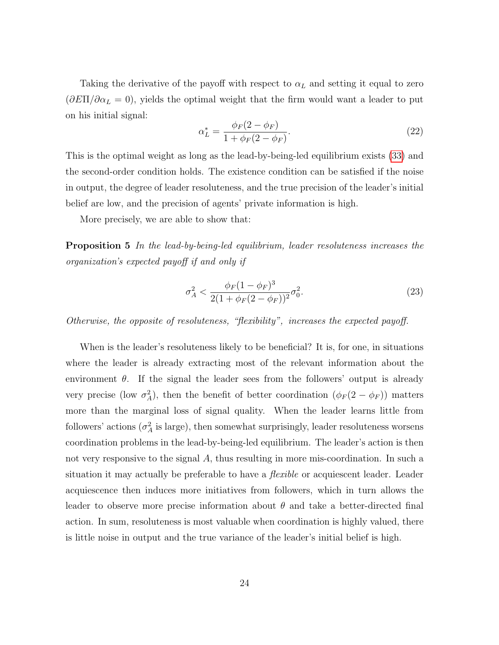Taking the derivative of the payoff with respect to  $\alpha_L$  and setting it equal to zero  $(\partial E\Pi/\partial \alpha_L = 0)$ , yields the optimal weight that the firm would want a leader to put on his initial signal:

$$
\alpha_L^* = \frac{\phi_F (2 - \phi_F)}{1 + \phi_F (2 - \phi_F)}.
$$
\n(22)

This is the optimal weight as long as the lead-by-being-led equilibrium exists [\(33\)](#page-37-0) and the second-order condition holds. The existence condition can be satisfied if the noise in output, the degree of leader resoluteness, and the true precision of the leader's initial belief are low, and the precision of agents' private information is high.

<span id="page-25-0"></span>More precisely, we are able to show that:

**Proposition 5** In the lead-by-being-led equilibrium, leader resoluteness increases the organization's expected payoff if and only if

$$
\sigma_A^2 < \frac{\phi_F (1 - \phi_F)^3}{2(1 + \phi_F (2 - \phi_F))^2} \sigma_0^2. \tag{23}
$$

Otherwise, the opposite of resoluteness, "flexibility", increases the expected payoff.

When is the leader's resoluteness likely to be beneficial? It is, for one, in situations where the leader is already extracting most of the relevant information about the environment  $\theta$ . If the signal the leader sees from the followers' output is already very precise (low  $\sigma_A^2$ ), then the benefit of better coordination  $(\phi_F(2-\phi_F))$  matters more than the marginal loss of signal quality. When the leader learns little from followers' actions ( $\sigma_A^2$  is large), then somewhat surprisingly, leader resoluteness worsens coordination problems in the lead-by-being-led equilibrium. The leader's action is then not very responsive to the signal A, thus resulting in more mis-coordination. In such a situation it may actually be preferable to have a flexible or acquiescent leader. Leader acquiescence then induces more initiatives from followers, which in turn allows the leader to observe more precise information about  $\theta$  and take a better-directed final action. In sum, resoluteness is most valuable when coordination is highly valued, there is little noise in output and the true variance of the leader's initial belief is high.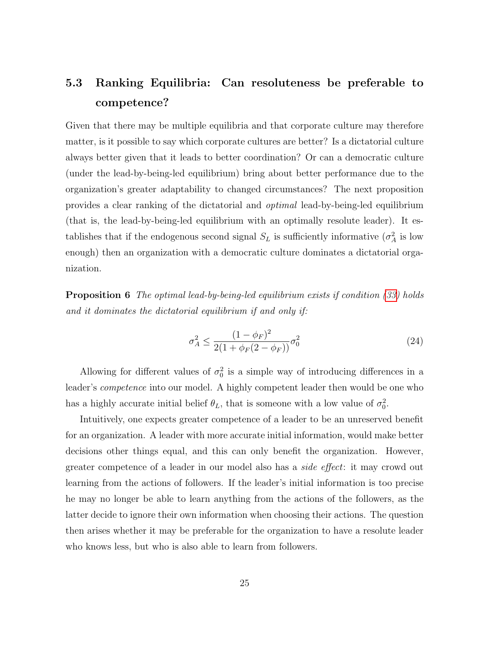# 5.3 Ranking Equilibria: Can resoluteness be preferable to competence?

Given that there may be multiple equilibria and that corporate culture may therefore matter, is it possible to say which corporate cultures are better? Is a dictatorial culture always better given that it leads to better coordination? Or can a democratic culture (under the lead-by-being-led equilibrium) bring about better performance due to the organization's greater adaptability to changed circumstances? The next proposition provides a clear ranking of the dictatorial and optimal lead-by-being-led equilibrium (that is, the lead-by-being-led equilibrium with an optimally resolute leader). It establishes that if the endogenous second signal  $S_L$  is sufficiently informative  $(\sigma_A^2)$  is low enough) then an organization with a democratic culture dominates a dictatorial organization.

<span id="page-26-0"></span>**Proposition 6** The optimal lead-by-being-led equilibrium exists if condition [\(33\)](#page-37-0) holds and it dominates the dictatorial equilibrium if and only if:

$$
\sigma_A^2 \le \frac{(1 - \phi_F)^2}{2(1 + \phi_F(2 - \phi_F))} \sigma_0^2 \tag{24}
$$

Allowing for different values of  $\sigma_0^2$  is a simple way of introducing differences in a leader's competence into our model. A highly competent leader then would be one who has a highly accurate initial belief  $\theta_L$ , that is someone with a low value of  $\sigma_0^2$ .

Intuitively, one expects greater competence of a leader to be an unreserved benefit for an organization. A leader with more accurate initial information, would make better decisions other things equal, and this can only benefit the organization. However, greater competence of a leader in our model also has a side effect: it may crowd out learning from the actions of followers. If the leader's initial information is too precise he may no longer be able to learn anything from the actions of the followers, as the latter decide to ignore their own information when choosing their actions. The question then arises whether it may be preferable for the organization to have a resolute leader who knows less, but who is also able to learn from followers.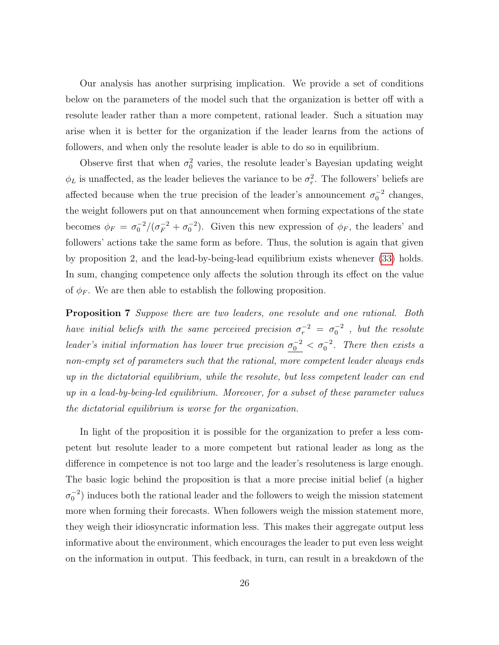Our analysis has another surprising implication. We provide a set of conditions below on the parameters of the model such that the organization is better off with a resolute leader rather than a more competent, rational leader. Such a situation may arise when it is better for the organization if the leader learns from the actions of followers, and when only the resolute leader is able to do so in equilibrium.

Observe first that when  $\sigma_0^2$  varies, the resolute leader's Bayesian updating weight  $\phi_L$  is unaffected, as the leader believes the variance to be  $\sigma_r^2$ . The followers' beliefs are affected because when the true precision of the leader's announcement  $\sigma_0^{-2}$  changes, the weight followers put on that announcement when forming expectations of the state becomes  $\phi_F = \sigma_0^{-2}/(\sigma_F^{-2} + \sigma_0^{-2})$ . Given this new expression of  $\phi_F$ , the leaders' and followers' actions take the same form as before. Thus, the solution is again that given by proposition 2, and the lead-by-being-lead equilibrium exists whenever [\(33\)](#page-37-0) holds. In sum, changing competence only affects the solution through its effect on the value of  $\phi_F$ . We are then able to establish the following proposition.

<span id="page-27-0"></span>Proposition 7 Suppose there are two leaders, one resolute and one rational. Both have initial beliefs with the same perceived precision  $\sigma_r^{-2} = \sigma_0^{-2}$ , but the resolute leader's initial information has lower true precision  $\sigma_0^{-2} < \sigma_0^{-2}$ . There then exists a non-empty set of parameters such that the rational, more competent leader always ends up in the dictatorial equilibrium, while the resolute, but less competent leader can end up in a lead-by-being-led equilibrium. Moreover, for a subset of these parameter values the dictatorial equilibrium is worse for the organization.

In light of the proposition it is possible for the organization to prefer a less competent but resolute leader to a more competent but rational leader as long as the difference in competence is not too large and the leader's resoluteness is large enough. The basic logic behind the proposition is that a more precise initial belief (a higher  $\sigma_0^{-2}$ ) induces both the rational leader and the followers to weigh the mission statement more when forming their forecasts. When followers weigh the mission statement more, they weigh their idiosyncratic information less. This makes their aggregate output less informative about the environment, which encourages the leader to put even less weight on the information in output. This feedback, in turn, can result in a breakdown of the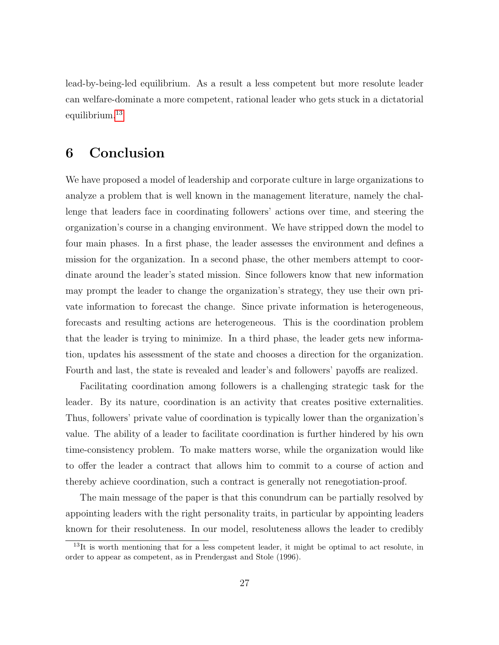lead-by-being-led equilibrium. As a result a less competent but more resolute leader can welfare-dominate a more competent, rational leader who gets stuck in a dictatorial equilibrium.[13](#page-0-0)

### <span id="page-28-0"></span>6 Conclusion

We have proposed a model of leadership and corporate culture in large organizations to analyze a problem that is well known in the management literature, namely the challenge that leaders face in coordinating followers' actions over time, and steering the organization's course in a changing environment. We have stripped down the model to four main phases. In a first phase, the leader assesses the environment and defines a mission for the organization. In a second phase, the other members attempt to coordinate around the leader's stated mission. Since followers know that new information may prompt the leader to change the organization's strategy, they use their own private information to forecast the change. Since private information is heterogeneous, forecasts and resulting actions are heterogeneous. This is the coordination problem that the leader is trying to minimize. In a third phase, the leader gets new information, updates his assessment of the state and chooses a direction for the organization. Fourth and last, the state is revealed and leader's and followers' payoffs are realized.

Facilitating coordination among followers is a challenging strategic task for the leader. By its nature, coordination is an activity that creates positive externalities. Thus, followers' private value of coordination is typically lower than the organization's value. The ability of a leader to facilitate coordination is further hindered by his own time-consistency problem. To make matters worse, while the organization would like to offer the leader a contract that allows him to commit to a course of action and thereby achieve coordination, such a contract is generally not renegotiation-proof.

The main message of the paper is that this conundrum can be partially resolved by appointing leaders with the right personality traits, in particular by appointing leaders known for their resoluteness. In our model, resoluteness allows the leader to credibly

<sup>&</sup>lt;sup>13</sup>It is worth mentioning that for a less competent leader, it might be optimal to act resolute, in order to appear as competent, as in Prendergast and Stole (1996).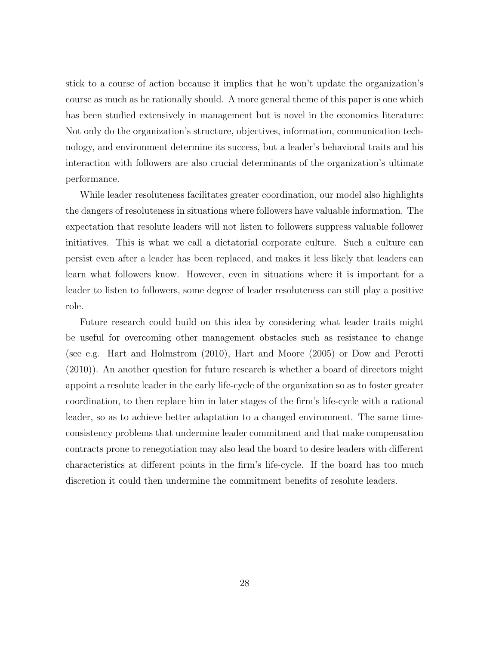stick to a course of action because it implies that he won't update the organization's course as much as he rationally should. A more general theme of this paper is one which has been studied extensively in management but is novel in the economics literature: Not only do the organization's structure, objectives, information, communication technology, and environment determine its success, but a leader's behavioral traits and his interaction with followers are also crucial determinants of the organization's ultimate performance.

While leader resoluteness facilitates greater coordination, our model also highlights the dangers of resoluteness in situations where followers have valuable information. The expectation that resolute leaders will not listen to followers suppress valuable follower initiatives. This is what we call a dictatorial corporate culture. Such a culture can persist even after a leader has been replaced, and makes it less likely that leaders can learn what followers know. However, even in situations where it is important for a leader to listen to followers, some degree of leader resoluteness can still play a positive role.

Future research could build on this idea by considering what leader traits might be useful for overcoming other management obstacles such as resistance to change (see e.g. Hart and Holmstrom (2010), Hart and Moore (2005) or Dow and Perotti (2010)). An another question for future research is whether a board of directors might appoint a resolute leader in the early life-cycle of the organization so as to foster greater coordination, to then replace him in later stages of the firm's life-cycle with a rational leader, so as to achieve better adaptation to a changed environment. The same timeconsistency problems that undermine leader commitment and that make compensation contracts prone to renegotiation may also lead the board to desire leaders with different characteristics at different points in the firm's life-cycle. If the board has too much discretion it could then undermine the commitment benefits of resolute leaders.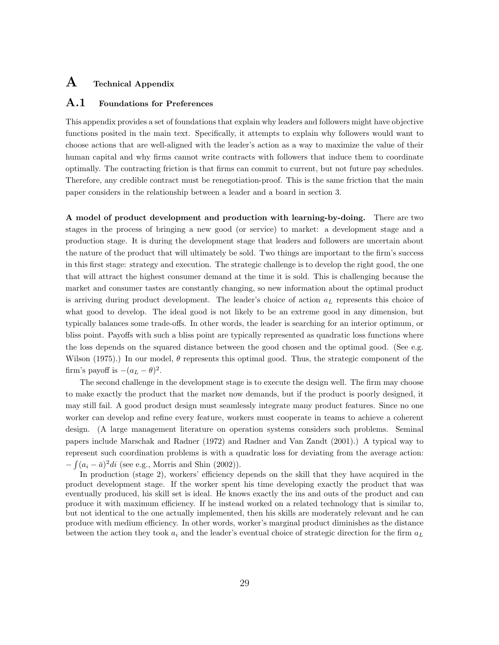### $\bf{A}$  Technical Appendix

#### <span id="page-30-0"></span>A.1 Foundations for Preferences

This appendix provides a set of foundations that explain why leaders and followers might have objective functions posited in the main text. Specifically, it attempts to explain why followers would want to choose actions that are well-aligned with the leader's action as a way to maximize the value of their human capital and why firms cannot write contracts with followers that induce them to coordinate optimally. The contracting friction is that firms can commit to current, but not future pay schedules. Therefore, any credible contract must be renegotiation-proof. This is the same friction that the main paper considers in the relationship between a leader and a board in section 3.

A model of product development and production with learning-by-doing. There are two stages in the process of bringing a new good (or service) to market: a development stage and a production stage. It is during the development stage that leaders and followers are uncertain about the nature of the product that will ultimately be sold. Two things are important to the firm's success in this first stage: strategy and execution. The strategic challenge is to develop the right good, the one that will attract the highest consumer demand at the time it is sold. This is challenging because the market and consumer tastes are constantly changing, so new information about the optimal product is arriving during product development. The leader's choice of action  $a<sub>L</sub>$  represents this choice of what good to develop. The ideal good is not likely to be an extreme good in any dimension, but typically balances some trade-offs. In other words, the leader is searching for an interior optimum, or bliss point. Payoffs with such a bliss point are typically represented as quadratic loss functions where the loss depends on the squared distance between the good chosen and the optimal good. (See e.g. Wilson (1975).) In our model,  $\theta$  represents this optimal good. Thus, the strategic component of the firm's payoff is  $-(a_L - \theta)^2$ .

The second challenge in the development stage is to execute the design well. The firm may choose to make exactly the product that the market now demands, but if the product is poorly designed, it may still fail. A good product design must seamlessly integrate many product features. Since no one worker can develop and refine every feature, workers must cooperate in teams to achieve a coherent design. (A large management literature on operation systems considers such problems. Seminal papers include Marschak and Radner (1972) and Radner and Van Zandt (2001).) A typical way to represent such coordination problems is with a quadratic loss for deviating from the average action:  $-\int (a_i - \bar{a})^2 di$  (see e.g., Morris and Shin (2002)).

In production (stage 2), workers' efficiency depends on the skill that they have acquired in the product development stage. If the worker spent his time developing exactly the product that was eventually produced, his skill set is ideal. He knows exactly the ins and outs of the product and can produce it with maximum efficiency. If he instead worked on a related technology that is similar to, but not identical to the one actually implemented, then his skills are moderately relevant and he can produce with medium efficiency. In other words, worker's marginal product diminishes as the distance between the action they took  $a_i$  and the leader's eventual choice of strategic direction for the firm  $a_L$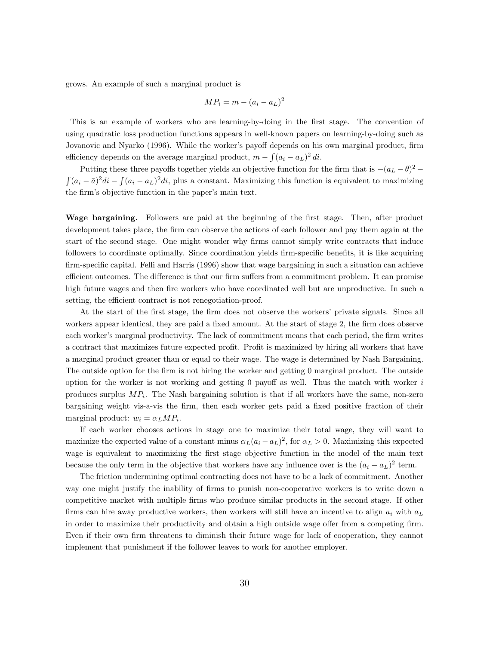grows. An example of such a marginal product is

$$
MP_i = m - (a_i - a_L)^2
$$

This is an example of workers who are learning-by-doing in the first stage. The convention of using quadratic loss production functions appears in well-known papers on learning-by-doing such as Jovanovic and Nyarko (1996). While the worker's payoff depends on his own marginal product, firm efficiency depends on the average marginal product,  $m - \int (a_i - a_i)^2 \, di$ .

Putting these three payoffs together yields an objective function for the firm that is  $-(a_L - \theta)^2$  $\int (a_i - \bar{a})^2 di - \int (a_i - a_L)^2 di$ , plus a constant. Maximizing this function is equivalent to maximizing the firm's objective function in the paper's main text.

Wage bargaining. Followers are paid at the beginning of the first stage. Then, after product development takes place, the firm can observe the actions of each follower and pay them again at the start of the second stage. One might wonder why firms cannot simply write contracts that induce followers to coordinate optimally. Since coordination yields firm-specific benefits, it is like acquiring firm-specific capital. Felli and Harris (1996) show that wage bargaining in such a situation can achieve efficient outcomes. The difference is that our firm suffers from a commitment problem. It can promise high future wages and then fire workers who have coordinated well but are unproductive. In such a setting, the efficient contract is not renegotiation-proof.

At the start of the first stage, the firm does not observe the workers' private signals. Since all workers appear identical, they are paid a fixed amount. At the start of stage 2, the firm does observe each worker's marginal productivity. The lack of commitment means that each period, the firm writes a contract that maximizes future expected profit. Profit is maximized by hiring all workers that have a marginal product greater than or equal to their wage. The wage is determined by Nash Bargaining. The outside option for the firm is not hiring the worker and getting 0 marginal product. The outside option for the worker is not working and getting  $0$  payoff as well. Thus the match with worker  $i$ produces surplus  $MP_i$ . The Nash bargaining solution is that if all workers have the same, non-zero bargaining weight vis-a-vis the firm, then each worker gets paid a fixed positive fraction of their marginal product:  $w_i = \alpha_L M P_i$ .

If each worker chooses actions in stage one to maximize their total wage, they will want to maximize the expected value of a constant minus  $\alpha_L(a_i - a_L)^2$ , for  $\alpha_L > 0$ . Maximizing this expected wage is equivalent to maximizing the first stage objective function in the model of the main text because the only term in the objective that workers have any influence over is the  $(a_i - a_i)^2$  term.

The friction undermining optimal contracting does not have to be a lack of commitment. Another way one might justify the inability of firms to punish non-cooperative workers is to write down a competitive market with multiple firms who produce similar products in the second stage. If other firms can hire away productive workers, then workers will still have an incentive to align  $a_i$  with  $a_L$ in order to maximize their productivity and obtain a high outside wage offer from a competing firm. Even if their own firm threatens to diminish their future wage for lack of cooperation, they cannot implement that punishment if the follower leaves to work for another employer.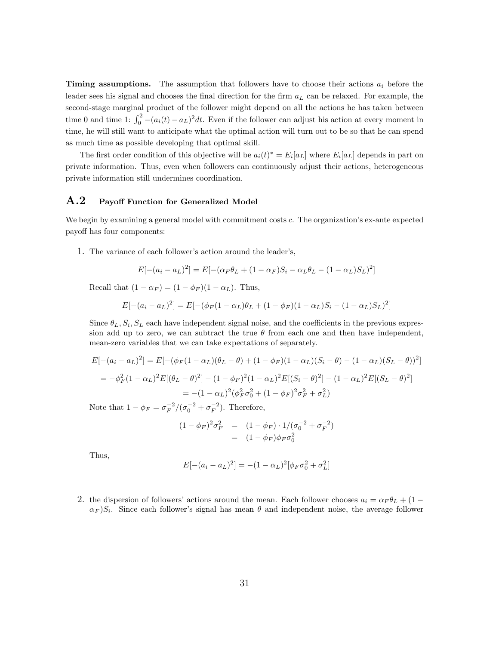**Timing assumptions.** The assumption that followers have to choose their actions  $a_i$  before the leader sees his signal and chooses the final direction for the firm  $a<sub>L</sub>$  can be relaxed. For example, the second-stage marginal product of the follower might depend on all the actions he has taken between time 0 and time 1:  $\int_0^2 -(a_i(t) - a_L)^2 dt$ . Even if the follower can adjust his action at every moment in time, he will still want to anticipate what the optimal action will turn out to be so that he can spend as much time as possible developing that optimal skill.

The first order condition of this objective will be  $a_i(t)^* = E_i[a_L]$  where  $E_i[a_L]$  depends in part on private information. Thus, even when followers can continuously adjust their actions, heterogeneous private information still undermines coordination.

#### A.2 Payoff Function for Generalized Model

We begin by examining a general model with commitment costs c. The organization's ex-ante expected payoff has four components:

1. The variance of each follower's action around the leader's,

$$
E[-(a_i - a_L)^2] = E[-(\alpha_F \theta_L + (1 - \alpha_F)S_i - \alpha_L \theta_L - (1 - \alpha_L)S_L)^2]
$$

Recall that  $(1 - \alpha_F) = (1 - \phi_F)(1 - \alpha_L)$ . Thus,

$$
E[-(a_i - a_L)^2] = E[-(\phi_F(1 - \alpha_L)\theta_L + (1 - \phi_F)(1 - \alpha_L)S_i - (1 - \alpha_L)S_L)^2]
$$

Since  $\theta_L, S_i, S_L$  each have independent signal noise, and the coefficients in the previous expression add up to zero, we can subtract the true  $\theta$  from each one and then have independent, mean-zero variables that we can take expectations of separately.

$$
E[-(a_i - a_L)^2] = E[-(\phi_F(1 - \alpha_L)(\theta_L - \theta) + (1 - \phi_F)(1 - \alpha_L)(S_i - \theta) - (1 - \alpha_L)(S_L - \theta))^2]
$$
  
=  $-\phi_F^2(1 - \alpha_L)^2 E[(\theta_L - \theta)^2] - (1 - \phi_F)^2(1 - \alpha_L)^2 E[(S_i - \theta)^2] - (1 - \alpha_L)^2 E[(S_L - \theta)^2]$   
=  $-(1 - \alpha_L)^2(\phi_F^2 \sigma_0^2 + (1 - \phi_F)^2 \sigma_F^2 + \sigma_L^2)$ 

Note that  $1 - \phi_F = \sigma_F^{-2}/(\sigma_0^{-2} + \sigma_F^{-2})$ . Therefore,

$$
(1 - \phi_F)^2 \sigma_F^2 = (1 - \phi_F) \cdot 1/(\sigma_0^{-2} + \sigma_F^{-2})
$$
  
= 
$$
(1 - \phi_F) \phi_F \sigma_0^2
$$

Thus,

$$
E[-(a_i - a_L)^2] = -(1 - \alpha_L)^2 [\phi_F \sigma_0^2 + \sigma_L^2]
$$

2. the dispersion of followers' actions around the mean. Each follower chooses  $a_i = \alpha_F \theta_L + (1 \alpha_F$ ) $S_i$ . Since each follower's signal has mean  $\theta$  and independent noise, the average follower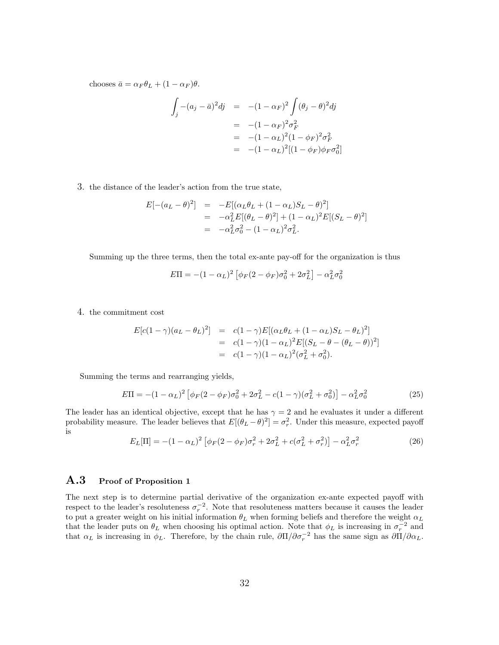chooses  $\bar{a} = \alpha_F \theta_L + (1 - \alpha_F)\theta$ .

$$
\int_{j} -(a_{j} - \bar{a})^{2} d j = -(1 - \alpha_{F})^{2} \int (\theta_{j} - \theta)^{2} d j
$$
\n
$$
= -(1 - \alpha_{F})^{2} \sigma_{F}^{2}
$$
\n
$$
= -(1 - \alpha_{L})^{2} (1 - \phi_{F})^{2} \sigma_{F}^{2}
$$
\n
$$
= -(1 - \alpha_{L})^{2} [(1 - \phi_{F})\phi_{F}\sigma_{0}^{2}]
$$

3. the distance of the leader's action from the true state,

$$
E[-(a_L - \theta)^2] = -E[(\alpha_L \theta_L + (1 - \alpha_L)S_L - \theta)^2]
$$
  
=  $-\alpha_L^2 E[(\theta_L - \theta)^2] + (1 - \alpha_L)^2 E[(S_L - \theta)^2]$   
=  $-\alpha_L^2 \sigma_0^2 - (1 - \alpha_L)^2 \sigma_L^2$ .

Summing up the three terms, then the total ex-ante pay-off for the organization is thus

$$
E\Pi = -(1 - \alpha_L)^2 \left[ \phi_F (2 - \phi_F) \sigma_0^2 + 2 \sigma_L^2 \right] - \alpha_L^2 \sigma_0^2
$$

4. the commitment cost

$$
E[c(1-\gamma)(a_L - \theta_L)^2] = c(1-\gamma)E[(\alpha_L \theta_L + (1-\alpha_L)S_L - \theta_L)^2]
$$
  
=  $c(1-\gamma)(1-\alpha_L)^2 E[(S_L - \theta - (\theta_L - \theta))^2]$   
=  $c(1-\gamma)(1-\alpha_L)^2(\sigma_L^2 + \sigma_0^2)$ .

Summing the terms and rearranging yields,

$$
E\Pi = -(1 - \alpha_L)^2 \left[ \phi_F (2 - \phi_F) \sigma_0^2 + 2\sigma_L^2 - c(1 - \gamma)(\sigma_L^2 + \sigma_0^2) \right] - \alpha_L^2 \sigma_0^2 \tag{25}
$$

The leader has an identical objective, except that he has  $\gamma = 2$  and he evaluates it under a different probability measure. The leader believes that  $E[(\theta_L - \theta)^2] = \sigma_r^2$ . Under this measure, expected payoff is

$$
E_L[\Pi] = -(1 - \alpha_L)^2 \left[ \phi_F (2 - \phi_F) \sigma_r^2 + 2 \sigma_L^2 + c (\sigma_L^2 + \sigma_r^2) \right] - \alpha_L^2 \sigma_r^2 \tag{26}
$$

### A.3 Proof of Proposition 1

The next step is to determine partial derivative of the organization ex-ante expected payoff with respect to the leader's resoluteness  $\sigma_r^{-2}$ . Note that resoluteness matters because it causes the leader to put a greater weight on his initial information  $\theta_L$  when forming beliefs and therefore the weight  $\alpha_L$ that the leader puts on  $\theta_L$  when choosing his optimal action. Note that  $\phi_L$  is increasing in  $\sigma_r^{-2}$  and that  $\alpha_L$  is increasing in  $\phi_L$ . Therefore, by the chain rule,  $\partial\Pi/\partial\sigma_r^{-2}$  has the same sign as  $\partial\Pi/\partial\alpha_L$ .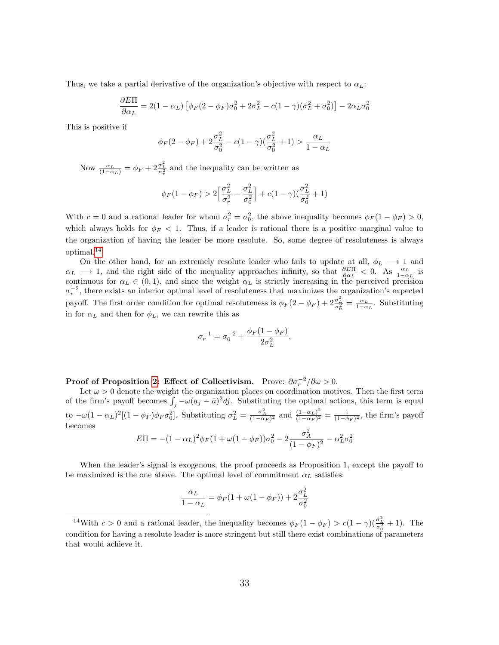Thus, we take a partial derivative of the organization's objective with respect to  $\alpha_L$ :

$$
\frac{\partial E\Pi}{\partial \alpha_L} = 2(1 - \alpha_L) \left[ \phi_F (2 - \phi_F) \sigma_0^2 + 2\sigma_L^2 - c(1 - \gamma) (\sigma_L^2 + \sigma_0^2) \right] - 2\alpha_L \sigma_0^2
$$

This is positive if

$$
\phi_F(2 - \phi_F) + 2\frac{\sigma_L^2}{\sigma_0^2} - c(1 - \gamma)\left(\frac{\sigma_L^2}{\sigma_0^2} + 1\right) > \frac{\alpha_L}{1 - \alpha_L}
$$

Now  $\frac{\alpha_L}{(1-\alpha_L)} = \phi_F + 2\frac{\sigma_L^2}{\sigma_r^2}$  and the inequality can be written as

$$
\phi_F(1 - \phi_F) > 2\left[\frac{\sigma_L^2}{\sigma_r^2} - \frac{\sigma_L^2}{\sigma_0^2}\right] + c(1 - \gamma)\left(\frac{\sigma_L^2}{\sigma_0^2} + 1\right)
$$

With  $c = 0$  and a rational leader for whom  $\sigma_r^2 = \sigma_0^2$ , the above inequality becomes  $\phi_F(1 - \phi_F) > 0$ , which always holds for  $\phi_F < 1$ . Thus, if a leader is rational there is a positive marginal value to the organization of having the leader be more resolute. So, some degree of resoluteness is always optimal.[14](#page-0-0)

On the other hand, for an extremely resolute leader who fails to update at all,  $\phi_L \rightarrow 1$  and  $\alpha_L \longrightarrow 1$ , and the right side of the inequality approaches infinity, so that  $\frac{\partial E\Pi}{\partial \alpha_L} < 0$ . As  $\frac{\alpha_L}{1-\alpha_L}$  is continuous for  $\alpha_L \in (0,1)$ , and since the weight  $\alpha_L$  is strictly increasing in the perceived precision  $\sigma_r^{-2}$ , there exists an interior optimal level of resoluteness that maximizes the organization's expected payoff. The first order condition for optimal resoluteness is  $\phi_F(2-\phi_F) + 2\frac{\sigma_L^2}{\sigma_0^2} = \frac{\alpha_L}{1-\alpha_L}$ . Substituting in for  $\alpha_L$  and then for  $\phi_L$ , we can rewrite this as

$$
\sigma_r^{-1} = \sigma_0^{-2} + \frac{\phi_F (1 - \phi_F)}{2 \sigma_L^2}.
$$

Proof of Proposition [2:](#page-17-0) Effect of Collectivism. Prove:  $\partial \sigma_r^{-2}/\partial \omega > 0$ .

Let  $\omega > 0$  denote the weight the organization places on coordination motives. Then the first term of the firm's payoff becomes  $\int_j -\omega (a_j - \bar{a})^2 d\dot{j}$ . Substituting the optimal actions, this term is equal to  $-\omega(1-\alpha_L)^2[(1-\phi_F)\phi_F\sigma_0^2]$ . Substituting  $\sigma_L^2 = \frac{\sigma_A^2}{(1-\alpha_F)^2}$  and  $\frac{(1-\alpha_L)^2}{(1-\alpha_F)^2}$  $\frac{(1-\alpha_L)^2}{(1-\alpha_F)^2} = \frac{1}{(1-\phi_F)^2}$ , the firm's payoff becomes

$$
E\Pi = -(1 - \alpha_L)^2 \phi_F (1 + \omega (1 - \phi_F)) \sigma_0^2 - 2 \frac{\sigma_A^2}{(1 - \phi_F)^2} - \alpha_L^2 \sigma_0^2
$$

When the leader's signal is exogenous, the proof proceeds as Proposition 1, except the payoff to be maximized is the one above. The optimal level of commitment  $\alpha_L$  satisfies:

$$
\frac{\alpha_L}{1 - \alpha_L} = \phi_F (1 + \omega (1 - \phi_F)) + 2 \frac{\sigma_L^2}{\sigma_0^2}
$$

<sup>&</sup>lt;sup>14</sup>With  $c > 0$  and a rational leader, the inequality becomes  $\phi_F(1 - \phi_F) > c(1 - \gamma)(\frac{\sigma_E^2}{\sigma_0^2} + 1)$ . The condition for having a resolute leader is more stringent but still there exist combinations of parameters that would achieve it.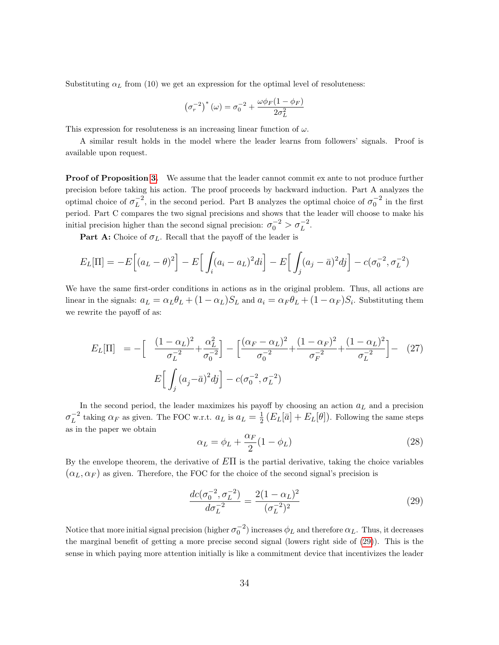Substituting  $\alpha_L$  from (10) we get an expression for the optimal level of resoluteness:

$$
\left(\sigma_r^{-2}\right)^*(\omega) = \sigma_0^{-2} + \frac{\omega\phi_F(1-\phi_F)}{2\sigma_L^2}
$$

This expression for resoluteness is an increasing linear function of  $\omega$ .

A similar result holds in the model where the leader learns from followers' signals. Proof is available upon request.

**Proof of Proposition [3.](#page-19-1)** We assume that the leader cannot commit ex ante to not produce further precision before taking his action. The proof proceeds by backward induction. Part A analyzes the optimal choice of  $\sigma_L^{-2}$  $L^{-2}$ , in the second period. Part B analyzes the optimal choice of  $\sigma_0^{-2}$  in the first period. Part C compares the two signal precisions and shows that the leader will choose to make his initial precision higher than the second signal precision:  $\sigma_0^{-2} > \sigma_L^{-2}$ .

**Part A:** Choice of  $\sigma_L$ . Recall that the payoff of the leader is

$$
E_L[\Pi] = -E[(a_L - \theta)^2] - E\Big[\int_i (a_i - a_L)^2 di\Big] - E\Big[\int_j (a_j - \bar{a})^2 dj\Big] - c(\sigma_0^{-2}, \sigma_L^{-2})
$$

We have the same first-order conditions in actions as in the original problem. Thus, all actions are linear in the signals:  $a_L = \alpha_L \theta_L + (1 - \alpha_L)S_L$  and  $a_i = \alpha_F \theta_L + (1 - \alpha_F)S_i$ . Substituting them we rewrite the payoff of as:

<span id="page-35-1"></span>
$$
E_L[\Pi] = -\left[ \frac{(1 - \alpha_L)^2}{\sigma_L^{-2}} + \frac{\alpha_L^2}{\sigma_0^{-2}} \right] - \left[ \frac{(\alpha_F - \alpha_L)^2}{\sigma_0^{-2}} + \frac{(1 - \alpha_F)^2}{\sigma_F^{-2}} + \frac{(1 - \alpha_L)^2}{\sigma_L^{-2}} \right] - (27)
$$

$$
E\left[ \int_j (a_j - \bar{a})^2 dj \right] - c(\sigma_0^{-2}, \sigma_L^{-2})
$$

In the second period, the leader maximizes his payoff by choosing an action  $a<sub>L</sub>$  and a precision  $\sigma_L^{-2}$  $L^{-2}$  taking  $\alpha_F$  as given. The FOC w.r.t.  $a_L$  is  $a_L = \frac{1}{2}$  $\frac{1}{2}$   $(E_L[\bar{a}] + E_L[\theta])$ . Following the same steps as in the paper we obtain

<span id="page-35-2"></span><span id="page-35-0"></span>
$$
\alpha_L = \phi_L + \frac{\alpha_F}{2} (1 - \phi_L) \tag{28}
$$

By the envelope theorem, the derivative of  $E\Pi$  is the partial derivative, taking the choice variables  $(\alpha_L, \alpha_F)$  as given. Therefore, the FOC for the choice of the second signal's precision is

$$
\frac{dc(\sigma_0^{-2}, \sigma_L^{-2})}{d\sigma_L^{-2}} = \frac{2(1 - \alpha_L)^2}{(\sigma_L^{-2})^2} \tag{29}
$$

Notice that more initial signal precision (higher  $\sigma_0^{-2}$ ) increases  $\phi_L$  and therefore  $\alpha_L$ . Thus, it decreases the marginal benefit of getting a more precise second signal (lowers right side of [\(29\)](#page-35-0)). This is the sense in which paying more attention initially is like a commitment device that incentivizes the leader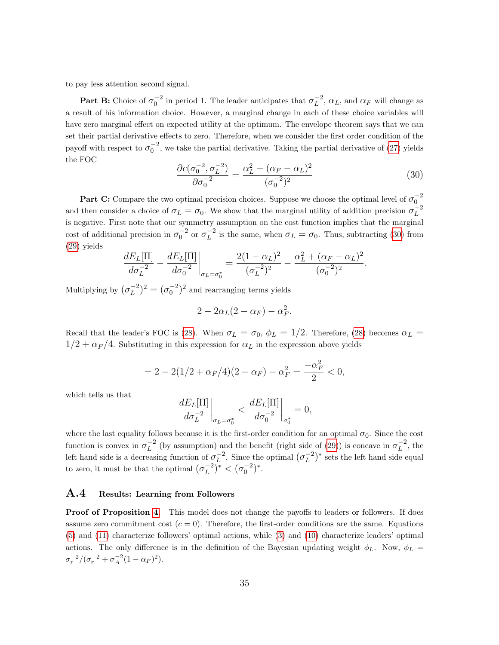to pay less attention second signal.

**Part B:** Choice of  $\sigma_0^{-2}$  in period 1. The leader anticipates that  $\sigma_L^{-2}$  $L^{-2}$ ,  $\alpha_L$ , and  $\alpha_F$  will change as a result of his information choice. However, a marginal change in each of these choice variables will have zero marginal effect on expected utility at the optimum. The envelope theorem says that we can set their partial derivative effects to zero. Therefore, when we consider the first order condition of the payoff with respect to  $\sigma_0^{-2}$ , we take the partial derivative. Taking the partial derivative of [\(27\)](#page-35-1) yields the FOC

$$
\frac{\partial c(\sigma_0^{-2}, \sigma_L^{-2})}{\partial \sigma_0^{-2}} = \frac{\alpha_L^2 + (\alpha_F - \alpha_L)^2}{(\sigma_0^{-2})^2} \tag{30}
$$

<span id="page-36-0"></span>**Part C:** Compare the two optimal precision choices. Suppose we choose the optimal level of  $\sigma_0^{-2}$ and then consider a choice of  $\sigma_L = \sigma_0$ . We show that the marginal utility of addition precision  $\sigma_L^{-2}$ L is negative. First note that our symmetry assumption on the cost function implies that the marginal cost of additional precision in  $\sigma_0^{-2}$  or  $\sigma_L^{-2}$  $L^{-2}$  is the same, when  $\sigma_L = \sigma_0$ . Thus, subtracting [\(30\)](#page-36-0) from [\(29\)](#page-35-0) yields

$$
\frac{dE_L[\Pi]}{d\sigma_L^{-2}} - \frac{dE_L[\Pi]}{d\sigma_0^{-2}}\bigg|_{\sigma_L = \sigma_0^*} = \frac{2(1-\alpha_L)^2}{(\sigma_L^{-2})^2} - \frac{\alpha_L^2 + (\alpha_F - \alpha_L)^2}{(\sigma_0^{-2})^2}.
$$

Multiplying by  $(\sigma_L^{-2})$  $(L<sup>-2</sup>)<sup>2</sup> = (\sigma<sub>0</sub><sup>-2</sup>)<sup>2</sup>$  and rearranging terms yields

$$
2 - 2\alpha_L(2 - \alpha_F) - \alpha_F^2.
$$

Recall that the leader's FOC is [\(28\)](#page-35-2). When  $\sigma_L = \sigma_0$ ,  $\phi_L = 1/2$ . Therefore, (28) becomes  $\alpha_L$  $1/2 + \alpha_F/4$ . Substituting in this expression for  $\alpha_L$  in the expression above yields

$$
=2-2(1/2+\alpha_F/4)(2-\alpha_F)-\alpha_F^2=\frac{-\alpha_F^2}{2}<0,
$$

which tells us that

$$
\left. \frac{dE_L[\Pi]}{d\sigma_L^{-2}} \right|_{\sigma_L = \sigma_0^*} < \left. \frac{dE_L[\Pi]}{d\sigma_0^{-2}} \right|_{\sigma_0^*} = 0,
$$

where the last equality follows because it is the first-order condition for an optimal  $\sigma_0$ . Since the cost function is convex in  $\sigma_L^{-2}$  $L<sup>-2</sup>$  (by assumption) and the benefit (right side of [\(29\)](#page-35-0)) is concave in  $\sigma_L^{-2}$  $L^{-2}$ , the left hand side is a decreasing function of  $\sigma_L^{-2}$  $L^{-2}$ . Since the optimal  $(\sigma_L^{-2})$  $\binom{-2}{L}^*$  sets the left hand side equal to zero, it must be that the optimal  $(\sigma_L^{-2})$  $\left[\frac{-2}{L}\right]^* < (\sigma_0^{-2})^*.$ 

#### A.4 Results: Learning from Followers

**Proof of Proposition [4.](#page-22-2)** This model does not change the payoffs to leaders or followers. If does assume zero commitment cost  $(c = 0)$ . Therefore, the first-order conditions are the same. Equations [\(5\)](#page-13-0) and [\(11\)](#page-14-1) characterize followers' optimal actions, while [\(3\)](#page-12-1) and [\(10\)](#page-14-0) characterize leaders' optimal actions. The only difference is in the definition of the Bayesian updating weight  $\phi_L$ . Now,  $\phi_L$  =  $\sigma_r^{-2}/(\sigma_r^{-2} + \sigma_A^{-2}(1 - \alpha_F)^2).$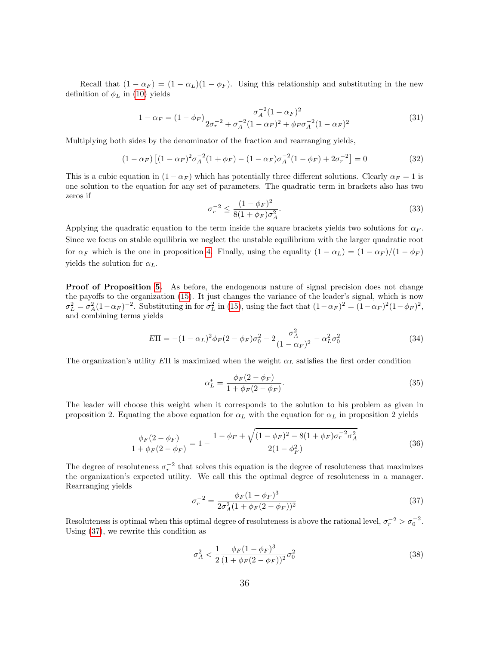Recall that  $(1 - \alpha_F) = (1 - \alpha_L)(1 - \phi_F)$ . Using this relationship and substituting in the new definition of  $\phi_L$  in [\(10\)](#page-14-0) yields

$$
1 - \alpha_F = (1 - \phi_F) \frac{\sigma_A^{-2} (1 - \alpha_F)^2}{2\sigma_F^{-2} + \sigma_A^{-2} (1 - \alpha_F)^2 + \phi_F \sigma_A^{-2} (1 - \alpha_F)^2}
$$
(31)

Multiplying both sides by the denominator of the fraction and rearranging yields,

$$
(1 - \alpha_F) \left[ (1 - \alpha_F)^2 \sigma_A^{-2} (1 + \phi_F) - (1 - \alpha_F) \sigma_A^{-2} (1 - \phi_F) + 2 \sigma_r^{-2} \right] = 0 \tag{32}
$$

<span id="page-37-0"></span>This is a cubic equation in  $(1 - \alpha_F)$  which has potentially three different solutions. Clearly  $\alpha_F = 1$  is one solution to the equation for any set of parameters. The quadratic term in brackets also has two zeros if

$$
\sigma_r^{-2} \le \frac{(1 - \phi_F)^2}{8(1 + \phi_F)\sigma_A^2}.\tag{33}
$$

Applying the quadratic equation to the term inside the square brackets yields two solutions for  $\alpha_F$ . Since we focus on stable equilibria we neglect the unstable equilibrium with the larger quadratic root for  $\alpha_F$  which is the one in proposition [4.](#page-22-2) Finally, using the equality  $(1 - \alpha_L) = (1 - \alpha_F)/(1 - \phi_F)$ yields the solution for  $\alpha_L$ .

Proof of Proposition [5.](#page-25-0) As before, the endogenous nature of signal precision does not change the payoffs to the organization [\(15\)](#page-15-0). It just changes the variance of the leader's signal, which is now  $\sigma_L^2 = \sigma_A^2 (1 - \alpha_F)^{-2}$ . Substituting in for  $\sigma_L^2$  in [\(15\)](#page-15-0), using the fact that  $(1 - \alpha_F)^2 = (1 - \alpha_F)^2 (1 - \phi_F)^2$ , and combining terms yields

<span id="page-37-2"></span>
$$
E\Pi = -(1 - \alpha_L)^2 \phi_F (2 - \phi_F) \sigma_0^2 - 2 \frac{\sigma_A^2}{(1 - \alpha_F)^2} - \alpha_L^2 \sigma_0^2 \tag{34}
$$

The organization's utility  $E\Pi$  is maximized when the weight  $\alpha_L$  satisfies the first order condition

<span id="page-37-3"></span>
$$
\alpha_L^* = \frac{\phi_F (2 - \phi_F)}{1 + \phi_F (2 - \phi_F)}.
$$
\n(35)

The leader will choose this weight when it corresponds to the solution to his problem as given in proposition 2. Equating the above equation for  $\alpha_L$  with the equation for  $\alpha_L$  in proposition 2 yields

<span id="page-37-1"></span>
$$
\frac{\phi_F(2-\phi_F)}{1+\phi_F(2-\phi_F)} = 1 - \frac{1-\phi_F + \sqrt{(1-\phi_F)^2 - 8(1+\phi_F)\sigma_r^{-2}\sigma_A^2}}{2(1-\phi_F^2)}
$$
(36)

The degree of resoluteness  $\sigma_r^{-2}$  that solves this equation is the degree of resoluteness that maximizes the organization's expected utility. We call this the optimal degree of resoluteness in a manager. Rearranging yields

$$
\sigma_r^{-2} = \frac{\phi_F (1 - \phi_F)^3}{2\sigma_A^2 (1 + \phi_F (2 - \phi_F))^2} \tag{37}
$$

Resoluteness is optimal when this optimal degree of resoluteness is above the rational level,  $\sigma_r^{-2} > \sigma_0^{-2}$ . Using [\(37\)](#page-37-1), we rewrite this condition as

$$
\sigma_A^2 < \frac{1}{2} \frac{\phi_F (1 - \phi_F)^3}{(1 + \phi_F (2 - \phi_F))^2} \sigma_0^2 \tag{38}
$$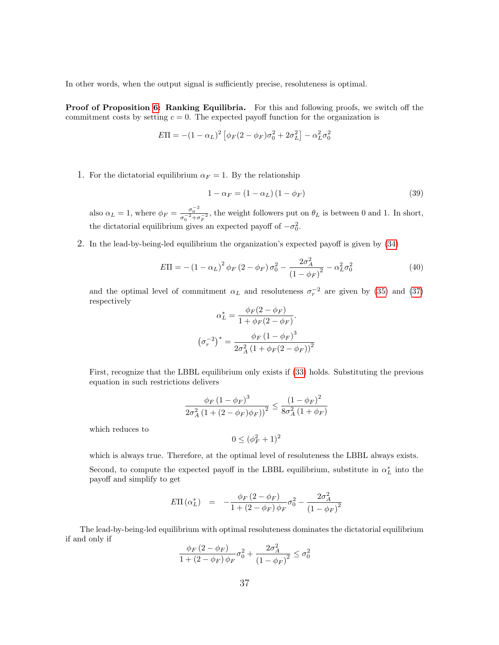In other words, when the output signal is sufficiently precise, resoluteness is optimal.

Proof of Proposition [6:](#page-26-0) Ranking Equilibria. For this and following proofs, we switch off the commitment costs by setting  $c = 0$ . The expected payoff function for the organization is

$$
E\Pi = -(1 - \alpha_L)^2 \left[ \phi_F (2 - \phi_F) \sigma_0^2 + 2 \sigma_L^2 \right] - \alpha_L^2 \sigma_0^2
$$

1. For the dictatorial equilibrium  $\alpha_F = 1$ . By the relationship

$$
1 - \alpha_F = (1 - \alpha_L)(1 - \phi_F) \tag{39}
$$

also  $\alpha_L = 1$ , where  $\phi_F = \frac{\sigma_0^{-2}}{\sigma_0^{-2} + \sigma_F^{-2}}$ , the weight followers put on  $\theta_L$  is between 0 and 1. In short, the dictatorial equilibrium gives an expected payoff of  $-\sigma_0^2$ .

2. In the lead-by-being-led equilibrium the organization's expected payoff is given by [\(34\)](#page-37-2)

$$
E\Pi = -(1 - \alpha_L)^2 \phi_F (2 - \phi_F) \sigma_0^2 - \frac{2\sigma_A^2}{(1 - \phi_F)^2} - \alpha_L^2 \sigma_0^2 \tag{40}
$$

and the optimal level of commitment  $\alpha_L$  and resoluteness  $\sigma_r^{-2}$  are given by [\(35\)](#page-37-3) and [\(37\)](#page-37-1) respectively  $\sqrt{2}$ 

$$
\alpha_L^* = \frac{\phi_F (2 - \phi_F)}{1 + \phi_F (2 - \phi_F)}.
$$

$$
(\sigma_r^{-2})^* = \frac{\phi_F (1 - \phi_F)^3}{2\sigma_A^2 (1 + \phi_F (2 - \phi_F))^2}
$$

First, recognize that the LBBL equilibrium only exists if [\(33\)](#page-37-0) holds. Substituting the previous equation in such restrictions delivers

$$
\frac{\phi_F \left(1 - \phi_F\right)^3}{2\sigma_A^2 \left(1 + (2 - \phi_F)\phi_F\right)^2} \le \frac{\left(1 - \phi_F\right)^2}{8\sigma_A^2 \left(1 + \phi_F\right)}
$$

which reduces to

$$
0 \le (\phi_F^2 + 1)^2
$$

which is always true. Therefore, at the optimal level of resoluteness the LBBL always exists.

Second, to compute the expected payoff in the LBBL equilibrium, substitute in  $\alpha_L^*$  into the payoff and simplify to get

$$
E\Pi\left(\alpha_{L}^{*}\right) = -\frac{\phi_{F}\left(2-\phi_{F}\right)}{1+\left(2-\phi_{F}\right)\phi_{F}}\sigma_{0}^{2} - \frac{2\sigma_{A}^{2}}{\left(1-\phi_{F}\right)^{2}}
$$

The lead-by-being-led equilibrium with optimal resoluteness dominates the dictatorial equilibrium if and only if

$$
\frac{\phi_F \left(2 - \phi_F\right)}{1 + \left(2 - \phi_F\right) \phi_F} \sigma_0^2 + \frac{2\sigma_A^2}{\left(1 - \phi_F\right)^2} \le \sigma_0^2
$$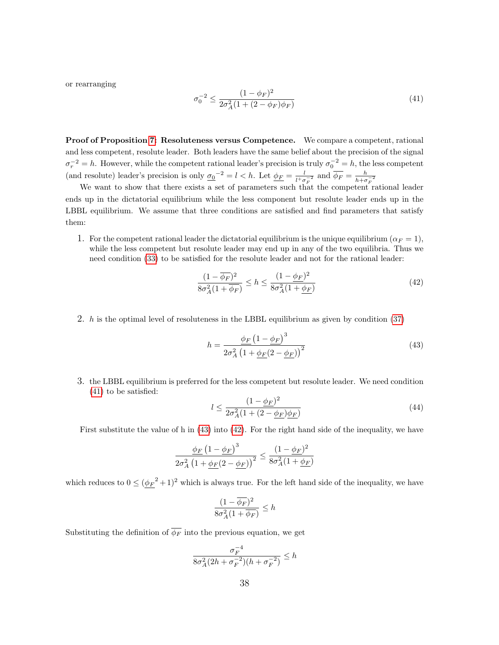<span id="page-39-0"></span>or rearranging

$$
\sigma_0^{-2} \le \frac{(1 - \phi_F)^2}{2\sigma_A^2 (1 + (2 - \phi_F)\phi_F)}\tag{41}
$$

Proof of Proposition [7:](#page-27-0) Resoluteness versus Competence. We compare a competent, rational and less competent, resolute leader. Both leaders have the same belief about the precision of the signal  $\sigma_r^{-2} = h$ . However, while the competent rational leader's precision is truly  $\sigma_0^{-2} = h$ , the less competent (and resolute) leader's precision is only  $\sigma_0^{-2} = l \lt h$ . Let  $\phi_F = \frac{l}{l+\sigma}$  $\frac{l}{l^+\sigma_F^{-2}}$  and  $\overline{\phi_F} = \frac{h}{h^+\sigma}$ 

Here the state of parameters such that the competent rational leader<br>We want to show that there exists a set of parameters such that the competent rational leader ends up in the dictatorial equilibrium while the less component but resolute leader ends up in the LBBL equilibrium. We assume that three conditions are satisfied and find parameters that satisfy them:

1. For the competent rational leader the dictatorial equilibrium is the unique equilibrium ( $\alpha_F = 1$ ), while the less competent but resolute leader may end up in any of the two equilibria. Thus we need condition [\(33\)](#page-37-0) to be satisfied for the resolute leader and not for the rational leader:

<span id="page-39-2"></span>
$$
\frac{(1 - \overline{\phi_F})^2}{8\sigma_A^2 (1 + \overline{\phi_F})} \le h \le \frac{(1 - \underline{\phi_F})^2}{8\sigma_A^2 (1 + \underline{\phi_F})}
$$
(42)

2. h is the optimal level of resoluteness in the LBBL equilibrium as given by condition [\(37\)](#page-37-1)

<span id="page-39-1"></span>
$$
h = \frac{\phi_F \left(1 - \phi_F\right)^3}{2\sigma_A^2 \left(1 + \phi_F (2 - \phi_F)\right)^2} \tag{43}
$$

3. the LBBL equilibrium is preferred for the less competent but resolute leader. We need condition [\(41\)](#page-39-0) to be satisfied:

<span id="page-39-3"></span>
$$
l \le \frac{(1 - \phi_F)^2}{2\sigma_A^2 (1 + (2 - \phi_F)\phi_F)}\tag{44}
$$

First substitute the value of h in [\(43\)](#page-39-1) into [\(42\)](#page-39-2). For the right hand side of the inequality, we have

$$
\frac{\phi_F \left(1 - \phi_F\right)^3}{2\sigma_A^2 \left(1 + \underline{\phi_F (2 - \underline{\phi_F})}\right)^2} \leq \frac{(1 - \underline{\phi_F})^2}{8\sigma_A^2 (1 + \underline{\phi_F})}
$$

which reduces to  $0 \leq (\phi_F^2 + 1)^2$  which is always true. For the left hand side of the inequality, we have

$$
\frac{(1 - \overline{\phi_F})^2}{8\sigma_A^2(1 + \overline{\phi_F})} \le h
$$

Substituting the definition of  $\overline{\phi_F}$  into the previous equation, we get

$$
\frac{\sigma_F^{-4}}{8\sigma_A^2(2h + \sigma_F^{-2})(h + \sigma_F^{-2})} \le h
$$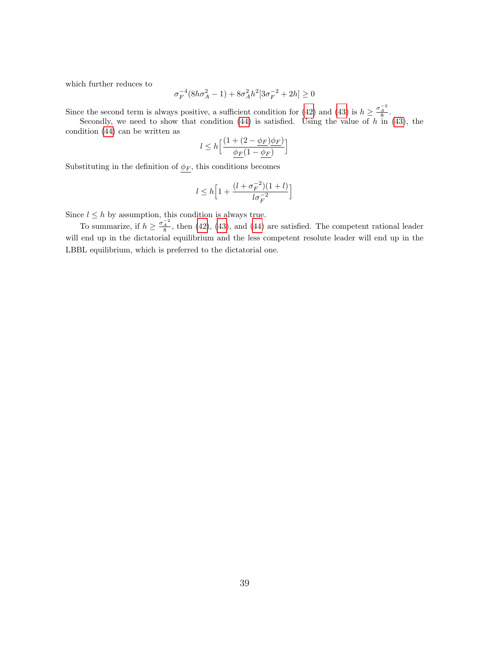which further reduces to

$$
\sigma_F^{-4}(8h\sigma_A^2 - 1) + 8\sigma_A^2 h^2 [3\sigma_F^{-2} + 2h] \ge 0
$$

Since the second term is always positive, a sufficient condition for [\(42\)](#page-39-2) and [\(43\)](#page-39-1) is  $h \geq \frac{\sigma_A^{-2}}{8}$ .

Secondly, we need to show that condition  $(44)$  is satisfied. Using the value of h in  $(43)$ , the condition [\(44\)](#page-39-3) can be written as

$$
l \le h \Big[ \frac{(1+(2-\phi_F) \phi_F)}{\underline{\phi_F} (1-\underline{\phi_F})} \Big]
$$

Substituting in the definition of  $\phi_F$ , this conditions becomes

$$
l\leq h\Big[1+\frac{(l+\sigma_F^{-2})(1+l)}{l\sigma_F^{-2}}\Big]
$$

Since  $l \leq h$  by assumption, this condition is always true.

To summarize, if  $h \geq \frac{\sigma_A^{-2}}{8}$ , then [\(42\)](#page-39-2), [\(43\)](#page-39-1), and [\(44\)](#page-39-3) are satisfied. The competent rational leader will end up in the dictatorial equilibrium and the less competent resolute leader will end up in the LBBL equilibrium, which is preferred to the dictatorial one.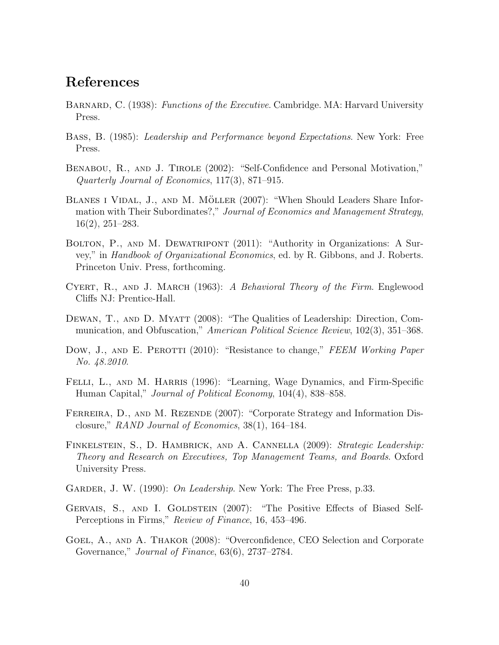## References

- BARNARD, C. (1938): Functions of the Executive. Cambridge. MA: Harvard University Press.
- Bass, B. (1985): Leadership and Performance beyond Expectations. New York: Free Press.
- Benabou, R., and J. Tirole (2002): "Self-Confidence and Personal Motivation," Quarterly Journal of Economics, 117(3), 871–915.
- BLANES I VIDAL, J., AND M. MÖLLER (2007): "When Should Leaders Share Information with Their Subordinates?," Journal of Economics and Management Strategy, 16(2), 251–283.
- BOLTON, P., AND M. DEWATRIPONT (2011): "Authority in Organizations: A Survey," in Handbook of Organizational Economics, ed. by R. Gibbons, and J. Roberts. Princeton Univ. Press, forthcoming.
- Cyert, R., and J. March (1963): A Behavioral Theory of the Firm. Englewood Cliffs NJ: Prentice-Hall.
- DEWAN, T., AND D. MYATT (2008): "The Qualities of Leadership: Direction, Communication, and Obfuscation," American Political Science Review, 102(3), 351–368.
- DOW, J., AND E. PEROTTI (2010): "Resistance to change," FEEM Working Paper No. 48.2010.
- FELLI, L., AND M. HARRIS (1996): "Learning, Wage Dynamics, and Firm-Specific Human Capital," Journal of Political Economy, 104(4), 838–858.
- FERREIRA, D., AND M. REZENDE (2007): "Corporate Strategy and Information Disclosure," RAND Journal of Economics, 38(1), 164–184.
- FINKELSTEIN, S., D. HAMBRICK, AND A. CANNELLA (2009): Strategic Leadership: Theory and Research on Executives, Top Management Teams, and Boards. Oxford University Press.
- GARDER, J. W. (1990): On Leadership. New York: The Free Press, p.33.
- GERVAIS, S., AND I. GOLDSTEIN (2007): "The Positive Effects of Biased Self-Perceptions in Firms," Review of Finance, 16, 453–496.
- Goel, A., and A. Thakor (2008): "Overconfidence, CEO Selection and Corporate Governance," Journal of Finance, 63(6), 2737–2784.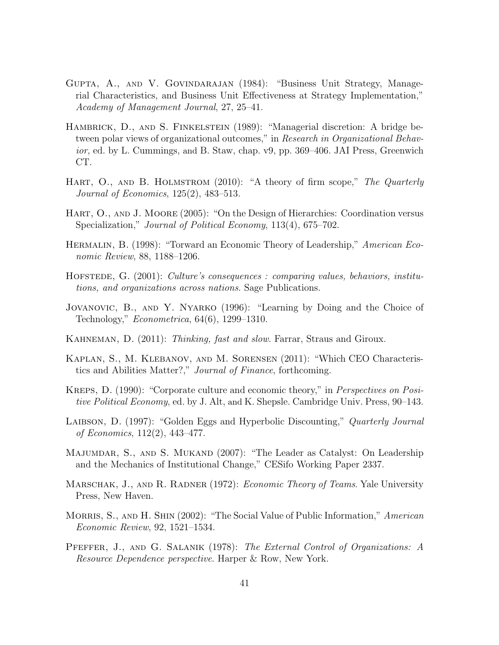- Gupta, A., and V. Govindarajan (1984): "Business Unit Strategy, Managerial Characteristics, and Business Unit Effectiveness at Strategy Implementation," Academy of Management Journal, 27, 25–41.
- HAMBRICK, D., AND S. FINKELSTEIN (1989): "Managerial discretion: A bridge between polar views of organizational outcomes," in Research in Organizational Behavior, ed. by L. Cummings, and B. Staw, chap. v9, pp. 369–406. JAI Press, Greenwich CT.
- HART, O., AND B. HOLMSTROM (2010): "A theory of firm scope," The Quarterly Journal of Economics, 125(2), 483–513.
- HART, O., AND J. MOORE (2005): "On the Design of Hierarchies: Coordination versus Specialization," *Journal of Political Economy*, 113(4), 675–702.
- Hermalin, B. (1998): "Torward an Economic Theory of Leadership," American Economic Review, 88, 1188–1206.
- HOFSTEDE, G. (2001): Culture's consequences : comparing values, behaviors, institutions, and organizations across nations. Sage Publications.
- Jovanovic, B., and Y. Nyarko (1996): "Learning by Doing and the Choice of Technology,"  $Econometrica$ , 64(6), 1299–1310.
- KAHNEMAN, D. (2011): Thinking, fast and slow. Farrar, Straus and Giroux.
- Kaplan, S., M. Klebanov, and M. Sorensen (2011): "Which CEO Characteristics and Abilities Matter?," Journal of Finance, forthcoming.
- Kreps, D. (1990): "Corporate culture and economic theory," in Perspectives on Positive Political Economy, ed. by J. Alt, and K. Shepsle. Cambridge Univ. Press, 90–143.
- LAIBSON, D. (1997): "Golden Eggs and Hyperbolic Discounting," Quarterly Journal of Economics, 112(2), 443–477.
- MAJUMDAR, S., AND S. MUKAND (2007): "The Leader as Catalyst: On Leadership and the Mechanics of Institutional Change," CESifo Working Paper 2337.
- MARSCHAK, J., AND R. RADNER (1972): *Economic Theory of Teams*. Yale University Press, New Haven.
- Morris, S., and H. Shin (2002): "The Social Value of Public Information," American Economic Review, 92, 1521–1534.
- PFEFFER, J., AND G. SALANIK (1978): The External Control of Organizations: A Resource Dependence perspective. Harper & Row, New York.